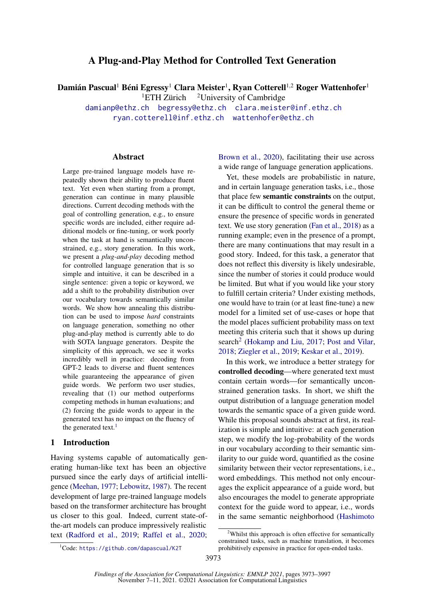# A Plug-and-Play Method for Controlled Text Generation

Damián Pascual<sup>1</sup> Béni Egressy<sup>1</sup> Clara Meister<sup>1</sup>, Ryan Cotterell<sup>1,2</sup> Roger Wattenhofer<sup>1</sup>

<sup>1</sup>ETH Zürich <sup>2</sup>University of Cambridge

[damianp@ethz.ch](mailto:damianp@ethz.ch) [begressy@ethz.ch](mailto:begressy@ethz.ch) [clara.meister@inf.ethz.ch](mailto:clara.meister@inf.ethz.ch)

[ryan.cotterell@inf.ethz.ch](mailto:ryan.cotterell@inf.ethz.ch) [wattenhofer@ethz.ch](mailto:wattenhofer@ethz.ch)

### Abstract

Large pre-trained language models have repeatedly shown their ability to produce fluent text. Yet even when starting from a prompt, generation can continue in many plausible directions. Current decoding methods with the goal of controlling generation, e.g., to ensure specific words are included, either require additional models or fine-tuning, or work poorly when the task at hand is semantically unconstrained, e.g., story generation. In this work, we present a *plug-and-play* decoding method for controlled language generation that is so simple and intuitive, it can be described in a single sentence: given a topic or keyword, we add a shift to the probability distribution over our vocabulary towards semantically similar words. We show how annealing this distribution can be used to impose *hard* constraints on language generation, something no other plug-and-play method is currently able to do with SOTA language generators. Despite the simplicity of this approach, we see it works incredibly well in practice: decoding from GPT-2 leads to diverse and fluent sentences while guaranteeing the appearance of given guide words. We perform two user studies, revealing that (1) our method outperforms competing methods in human evaluations; and (2) forcing the guide words to appear in the generated text has no impact on the fluency of the generated text. $<sup>1</sup>$  $<sup>1</sup>$  $<sup>1</sup>$ </sup>

### 1 Introduction

Having systems capable of automatically generating human-like text has been an objective pursued since the early days of artificial intelligence [\(Meehan,](#page-9-0) [1977;](#page-9-0) [Lebowitz,](#page-9-1) [1987\)](#page-9-1). The recent development of large pre-trained language models based on the transformer architecture has brought us closer to this goal. Indeed, current state-ofthe-art models can produce impressively realistic text [\(Radford et al.,](#page-10-0) [2019;](#page-10-0) [Raffel et al.,](#page-10-1) [2020;](#page-10-1) [Brown et al.,](#page-8-0) [2020\)](#page-8-0), facilitating their use across a wide range of language generation applications.

Yet, these models are probabilistic in nature, and in certain language generation tasks, i.e., those that place few semantic constraints on the output, it can be difficult to control the general theme or ensure the presence of specific words in generated text. We use story generation [\(Fan et al.,](#page-9-2) [2018\)](#page-9-2) as a running example; even in the presence of a prompt, there are many continuations that may result in a good story. Indeed, for this task, a generator that does not reflect this diversity is likely undesirable, since the number of stories it could produce would be limited. But what if you would like your story to fulfill certain criteria? Under existing methods, one would have to train (or at least fine-tune) a new model for a limited set of use-cases or hope that the model places sufficient probability mass on text meeting this criteria such that it shows up during search<sup>[2](#page-0-1)</sup> [\(Hokamp and Liu,](#page-9-3) [2017;](#page-9-3) [Post and Vilar,](#page-10-2) [2018;](#page-10-2) [Ziegler et al.,](#page-11-0) [2019;](#page-11-0) [Keskar et al.,](#page-9-4) [2019\)](#page-9-4).

In this work, we introduce a better strategy for controlled decoding—where generated text must contain certain words—for semantically unconstrained generation tasks. In short, we shift the output distribution of a language generation model towards the semantic space of a given guide word. While this proposal sounds abstract at first, its realization is simple and intuitive: at each generation step, we modify the log-probability of the words in our vocabulary according to their semantic similarity to our guide word, quantified as the cosine similarity between their vector representations, i.e., word embeddings. This method not only encourages the explicit appearance of a guide word, but also encourages the model to generate appropriate context for the guide word to appear, i.e., words in the same semantic neighborhood [\(Hashimoto](#page-9-5)

<span id="page-0-0"></span><sup>1</sup>Code: <https://github.com/dapascual/K2T>

<span id="page-0-1"></span><sup>&</sup>lt;sup>2</sup>[Whilst this approach is often effective for semantically](#page-9-5) [constrained tasks, such as machine translation, it becomes](#page-9-5) [prohibitively expensive in practice for open-ended tasks.](#page-9-5)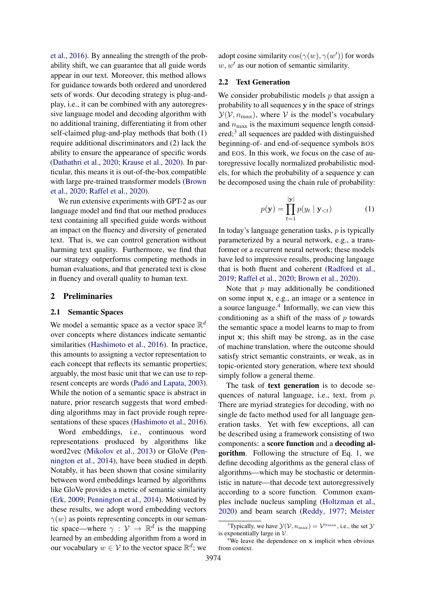[et al.,](#page-9-5) [2016\)](#page-9-5). By annealing the strength of the probability shift, we can guarantee that all guide words appear in our text. Moreover, this method allows for guidance towards both ordered and unordered sets of words. Our decoding strategy is plug-andplay, i.e., it can be combined with any autoregressive language model and decoding algorithm with no additional training, differentiating it from other self-claimed plug-and-play methods that both (1) require additional discriminators and (2) lack the ability to ensure the appearance of specific words [\(Dathathri et al.,](#page-9-6) [2020;](#page-9-6) [Krause et al.,](#page-9-7) [2020\)](#page-9-7). In particular, this means it is out-of-the-box compatible with large pre-trained transformer models [\(Brown](#page-8-0) [et al.,](#page-8-0) [2020;](#page-8-0) [Raffel et al.,](#page-10-1) [2020\)](#page-10-1).

We run extensive experiments with GPT-2 as our language model and find that our method produces text containing all specified guide words without an impact on the fluency and diversity of generated text. That is, we can control generation without harming text quality. Furthermore, we find that our strategy outperforms competing methods in human evaluations, and that generated text is close in fluency and overall quality to human text.

#### <span id="page-1-3"></span>2 Preliminaries

#### 2.1 Semantic Spaces

We model a semantic space as a vector space  $\mathbb{R}^d$ over concepts where distances indicate semantic similarities [\(Hashimoto et al.,](#page-9-5) [2016\)](#page-9-5). In practice, this amounts to assigning a vector representation to each concept that reflects its semantic properties; arguably, the most basic unit that we can use to represent concepts are words [\(Padó and Lapata,](#page-10-3) [2003\)](#page-10-3). While the notion of a semantic space is abstract in nature, prior research suggests that word embedding algorithms may in fact provide rough representations of these spaces [\(Hashimoto et al.,](#page-9-5) [2016\)](#page-9-5).

Word embeddings, i.e., continuous word representations produced by algorithms like word2vec [\(Mikolov et al.,](#page-10-4) [2013\)](#page-10-4) or GloVe [\(Pen](#page-10-5)[nington et al.,](#page-10-5) [2014\)](#page-10-5), have been studied in depth. Notably, it has been shown that cosine similarity between word embeddings learned by algorithms like GloVe provides a metric of semantic similarity [\(Erk,](#page-9-8) [2009;](#page-9-8) [Pennington et al.,](#page-10-5) [2014\)](#page-10-5). Motivated by these results, we adopt word embedding vectors  $\gamma(w)$  as points representing concepts in our semantic space—where  $\gamma : \mathcal{V} \to \mathbb{R}^d$  is the mapping learned by an embedding algorithm from a word in our vocabulary  $w \in V$  to the vector space  $\mathbb{R}^d$ ; we

adopt cosine similarity  $cos(\gamma(w), \gamma(w'))$  for words  $w, w'$  as our notion of semantic similarity.

### 2.2 Text Generation

We consider probabilistic models  $p$  that assign a probability to all sequences y in the space of strings  $\mathcal{Y}(\mathcal{V}, n_{\text{max}})$ , where V is the model's vocabulary and  $n_{\text{max}}$  is the maximum sequence length consid-ered;<sup>[3](#page-1-0)</sup> all sequences are padded with distinguished beginning-of- and end-of-sequence symbols BOS and EOS. In this work, we focus on the case of autoregressive locally normalized probabilistic models, for which the probability of a sequence y can be decomposed using the chain rule of probability:

$$
p(\mathbf{y}) = \prod_{t=1}^{|\mathbf{y}|} p(y_t | \mathbf{y}_{< t}) \tag{1}
$$

<span id="page-1-2"></span>In today's language generation tasks,  $p$  is typically parameterized by a neural network, e.g., a transformer or a recurrent neural network; these models have led to impressive results, producing language that is both fluent and coherent [\(Radford et al.,](#page-10-0) [2019;](#page-10-0) [Raffel et al.,](#page-10-1) [2020;](#page-10-1) [Brown et al.,](#page-8-0) [2020\)](#page-8-0).

Note that  $p$  may additionally be conditioned on some input x, e.g., an image or a sentence in a source language.<sup>[4](#page-1-1)</sup> Informally, we can view this conditioning as a shift of the mass of  $p$  towards the semantic space a model learns to map to from input x; this shift may be strong, as in the case of machine translation, where the outcome should satisfy strict semantic constraints, or weak, as in topic-oriented story generation, where text should simply follow a general theme.

The task of text generation is to decode sequences of natural language, i.e., text, from p. There are myriad strategies for decoding, with no single de facto method used for all language generation tasks. Yet with few exceptions, all can be described using a framework consisting of two components: a score function and a decoding algorithm. Following the structure of Eq. [1,](#page-1-2) we define decoding algorithms as the general class of algorithms—which may be stochastic or deterministic in nature—that decode text autoregressively according to a score function. Common examples include nucleus sampling [\(Holtzman et al.,](#page-9-9) [2020\)](#page-9-9) and beam search [\(Reddy,](#page-10-6) [1977;](#page-10-6) [Meister](#page-9-10)

<span id="page-1-0"></span><sup>&</sup>lt;sup>3</sup>[Typically, we have](#page-9-10)  $\mathcal{Y}(\mathcal{V}, n_{\text{max}}) = \mathcal{V}^{n_{\text{max}}}$ , i.e., the set  $\mathcal{Y}$ [is exponentially large in](#page-9-10)  $V$ .

<span id="page-1-1"></span><sup>4</sup>[We leave the dependence on](#page-9-10) x implicit when obvious [from context.](#page-9-10)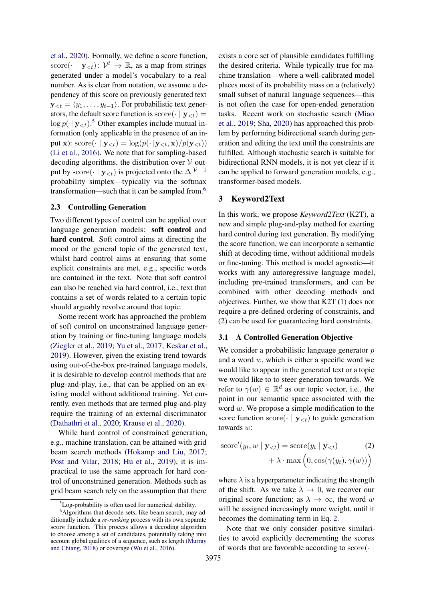[et al.,](#page-9-10) [2020\)](#page-9-10). Formally, we define a score function, score $(\cdot \mid y_{\leq t})$ :  $\mathcal{V}^t \to \mathbb{R}$ , as a map from strings generated under a model's vocabulary to a real number. As is clear from notation, we assume a dependency of this score on previously generated text  $y_{< t} = \langle y_1, \ldots, y_{t-1} \rangle$ . For probabilistic text generators, the default score function is score( $\cdot | \mathbf{y}_{\leq t}$ ) =  $\log p(\cdot | \mathbf{y}_{\leq t})$ .<sup>[5](#page-2-0)</sup> Other examples include mutual information (only applicable in the presence of an input x):  $score(\cdot | y_{\leq t}) = log(p(\cdot | y_{\leq t}, x)/p(y_{\leq t}))$ [\(Li et al.,](#page-9-11) [2016\)](#page-9-11). We note that for sampling-based decoding algorithms, the distribution over  $V$  output by score $(\cdot \mid y_{\leq t})$  is projected onto the  $\Delta^{|\mathcal{V}|-1}$ probability simplex—typically via the softmax transformation—such that it can be sampled from.<sup>[6](#page-2-1)</sup>

#### 2.3 Controlling Generation

Two different types of control can be applied over language generation models: soft control and hard control. Soft control aims at directing the mood or the general topic of the generated text, whilst hard control aims at ensuring that some explicit constraints are met, e.g., specific words are contained in the text. Note that soft control can also be reached via hard control, i.e., text that contains a set of words related to a certain topic should arguably revolve around that topic.

Some recent work has approached the problem of soft control on unconstrained language generation by training or fine-tuning language models [\(Ziegler et al.,](#page-11-0) [2019;](#page-11-0) [Yu et al.,](#page-11-1) [2017;](#page-11-1) [Keskar et al.,](#page-9-4) [2019\)](#page-9-4). However, given the existing trend towards using out-of-the-box pre-trained language models, it is desirable to develop control methods that are plug-and-play, i.e., that can be applied on an existing model without additional training. Yet currently, even methods that are termed plug-and-play require the training of an external discriminator [\(Dathathri et al.,](#page-9-6) [2020;](#page-9-6) [Krause et al.,](#page-9-7) [2020\)](#page-9-7).

While hard control of constrained generation, e.g., machine translation, can be attained with grid beam search methods [\(Hokamp and Liu,](#page-9-3) [2017;](#page-9-3) [Post and Vilar,](#page-10-2) [2018;](#page-10-2) [Hu et al.,](#page-9-12) [2019\)](#page-9-12), it is impractical to use the same approach for hard control of unconstrained generation. Methods such as grid beam search rely on the assumption that there

exists a core set of plausible candidates fulfilling the desired criteria. While typically true for machine translation—where a well-calibrated model places most of its probability mass on a (relatively) small subset of natural language sequences—this is not often the case for open-ended generation tasks. Recent work on stochastic search [\(Miao](#page-9-13) [et al.,](#page-9-13) [2019;](#page-9-13) [Sha,](#page-10-9) [2020\)](#page-10-9) has approached this problem by performing bidirectional search during generation and editing the text until the constraints are fulfilled. Although stochastic search is suitable for bidirectional RNN models, it is not yet clear if it can be applied to forward generation models, e.g., transformer-based models.

## 3 Keyword2Text

In this work, we propose *Keyword2Text* (K2T), a new and simple plug-and-play method for exerting hard control during text generation. By modifying the score function, we can incorporate a semantic shift at decoding time, without additional models or fine-tuning. This method is model agnostic—it works with any autoregressive language model, including pre-trained transformers, and can be combined with other decoding methods and objectives. Further, we show that K2T (1) does not require a pre-defined ordering of constraints, and (2) can be used for guaranteeing hard constraints.

### 3.1 A Controlled Generation Objective

We consider a probabilistic language generator  $p$ and a word  $w$ , which is either a specific word we would like to appear in the generated text or a topic we would like to to steer generation towards. We refer to  $\gamma(w) \in \mathbb{R}^d$  as our topic vector, i.e., the point in our semantic space associated with the word  $w$ . We propose a simple modification to the score function score( $\cdot | y_{\leq t}$ ) to guide generation towards w:

<span id="page-2-2"></span>score'(y<sub>t</sub>, w | 
$$
\mathbf{y}_{) = score(y<sub>t</sub> |  $\mathbf{y}_{) (2)  
+  $\lambda \cdot \max (0, \cos(\gamma(y_t), \gamma(w)))$ )$
$$

where  $\lambda$  is a hyperparameter indicating the strength of the shift. As we take  $\lambda \to 0$ , we recover our original score function; as  $\lambda \to \infty$ , the word w will be assigned increasingly more weight, until it becomes the dominating term in Eq. [2.](#page-2-2)

Note that we only consider positive similarities to avoid explicitly decrementing the scores of words that are favorable according to score(· |

<span id="page-2-1"></span><span id="page-2-0"></span> ${}^{5}$ Log-probability is often used for numerical stability.

<sup>&</sup>lt;sup>6</sup>Algorithms that decode sets, like beam search, may additionally include a *re-ranking* process with its own separate score function. This process allows a decoding algorithm to choose among a set of candidates, potentially taking into account global qualities of a sequence, such as length [\(Murray](#page-10-7) [and Chiang,](#page-10-7) [2018\)](#page-10-7) or coverage [\(Wu et al.,](#page-10-8) [2016\)](#page-10-8).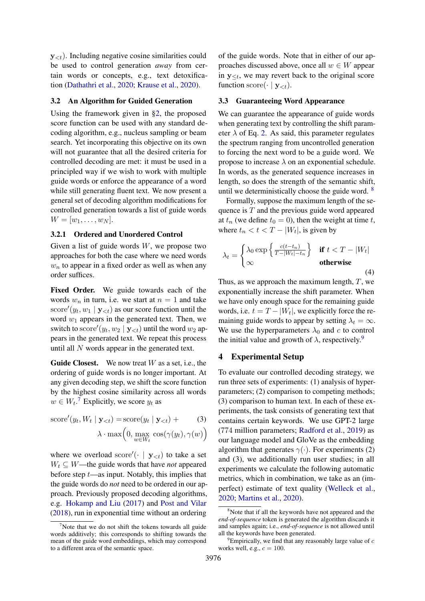$y_{\leq t}$ ). Including negative cosine similarities could be used to control generation *away* from certain words or concepts, e.g., text detoxification [\(Dathathri et al.,](#page-9-6) [2020;](#page-9-6) [Krause et al.,](#page-9-7) [2020\)](#page-9-7).

## <span id="page-3-3"></span>3.2 An Algorithm for Guided Generation

Using the framework given in [§2,](#page-1-3) the proposed score function can be used with any standard decoding algorithm, e.g., nucleus sampling or beam search. Yet incorporating this objective on its own will not guarantee that all the desired criteria for controlled decoding are met: it must be used in a principled way if we wish to work with multiple guide words or enforce the appearance of a word while still generating fluent text. We now present a general set of decoding algorithm modifications for controlled generation towards a list of guide words  $W = [w_1, \ldots, w_N].$ 

### 3.2.1 Ordered and Unordered Control

Given a list of guide words  $W$ , we propose two approaches for both the case where we need words  $w_n$  to appear in a fixed order as well as when any order suffices.

Fixed Order. We guide towards each of the words  $w_n$  in turn, i.e. we start at  $n = 1$  and take score' $(y_t, w_1 | y_{< t})$  as our score function until the word  $w_1$  appears in the generated text. Then, we switch to  $\text{score}'(y_t, w_2 | \mathbf{y}_{< t})$  until the word  $w_2$  appears in the generated text. We repeat this process until all N words appear in the generated text.

**Guide Closest.** We now treat  $W$  as a set, i.e., the ordering of guide words is no longer important. At any given decoding step, we shift the score function by the highest cosine similarity across all words  $w \in W_t$ .<sup>[7](#page-3-0)</sup> Explicitly, we score  $y_t$  as

score'(y<sub>t</sub>, W<sub>t</sub> | 
$$
\mathbf{y}_{) = score(y<sub>t</sub> |  $\mathbf{y}_{) + (3)  

$$
\lambda \cdot \max(0, \max_{w \in W_t} \cos(\gamma(y_t), \gamma(w))
$$$
$$

where we overload score'( $\cdot$  |  $y_{\leq t}$ ) to take a set  $W_t \subseteq W$ —the guide words that have *not* appeared before step  $t$ —as input. Notably, this implies that the guide words do *not* need to be ordered in our approach. Previously proposed decoding algorithms, e.g. [Hokamp and Liu](#page-9-3) [\(2017\)](#page-9-3) and [Post and Vilar](#page-10-2) [\(2018\)](#page-10-2), run in exponential time without an ordering

of the guide words. Note that in either of our approaches discussed above, once all  $w \in W$  appear in  $y_{\leq t}$ , we may revert back to the original score function score( $\cdot | \mathbf{y}_{\leq t}$ ).

#### 3.3 Guaranteeing Word Appearance

We can guarantee the appearance of guide words when generating text by controlling the shift parameter  $\lambda$  of Eq. [2.](#page-2-2) As said, this parameter regulates the spectrum ranging from uncontrolled generation to forcing the next word to be a guide word. We propose to increase  $\lambda$  on an exponential schedule. In words, as the generated sequence increases in length, so does the strength of the semantic shift, until we deterministically choose the guide word.  $8$ 

Formally, suppose the maximum length of the sequence is  $T$  and the previous guide word appeared at  $t_n$  (we define  $t_0 = 0$ ), then the weight at time t, where  $t_n < t < T - |W_t|$ , is given by

$$
\lambda_t = \begin{cases} \lambda_0 \exp\left\{\frac{c(t-t_n)}{T-|W_t| - t_n}\right\} & \text{if } t < T - |W_t| \\ \infty & \text{otherwise} \end{cases}
$$
(4)

Thus, as we approach the maximum length,  $T$ , we exponentially increase the shift parameter. When we have only enough space for the remaining guide words, i.e.  $t = T - |W_t|$ , we explicitly force the remaining guide words to appear by setting  $\lambda_t = \infty$ . We use the hyperparameters  $\lambda_0$  and c to control the initial value and growth of  $\lambda$ , respectively.<sup>[9](#page-3-2)</sup>

### 4 Experimental Setup

To evaluate our controlled decoding strategy, we run three sets of experiments: (1) analysis of hyperparameters; (2) comparison to competing methods; (3) comparison to human text. In each of these experiments, the task consists of generating text that contains certain keywords. We use GPT-2 large (774 million parameters; [Radford et al.,](#page-10-0) [2019\)](#page-10-0) as our language model and GloVe as the embedding algorithm that generates  $\gamma(\cdot)$ . For experiments (2) and (3), we additionally run user studies; in all experiments we calculate the following automatic metrics, which in combination, we take as an (imperfect) estimate of text quality [\(Welleck et al.,](#page-10-10) [2020;](#page-10-10) [Martins et al.,](#page-9-14) [2020\)](#page-9-14).

<span id="page-3-0"></span>Note that we do not shift the tokens towards all guide words additively; this corresponds to shifting towards the mean of the guide word embeddings, which may correspond to a different area of the semantic space.

<span id="page-3-1"></span><sup>&</sup>lt;sup>8</sup>Note that if all the keywords have not appeared and the *end-of-sequence* token is generated the algorithm discards it and samples again; i.e., *end-of-sequence* is not allowed until all the keywords have been generated.

<span id="page-3-2"></span>Empirically, we find that any reasonably large value of  $c$ works well, e.g.,  $c = 100$ .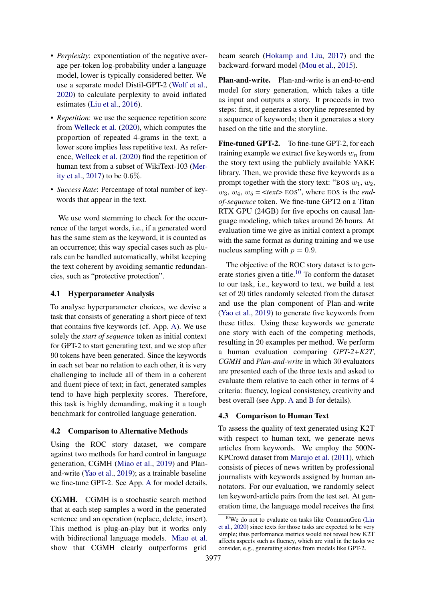- *Perplexity*: exponentiation of the negative average per-token log-probability under a language model, lower is typically considered better. We use a separate model Distil-GPT-2 [\(Wolf et al.,](#page-10-11) [2020\)](#page-10-11) to calculate perplexity to avoid inflated estimates [\(Liu et al.,](#page-9-15) [2016\)](#page-9-15).
- *Repetition*: we use the sequence repetition score from [Welleck et al.](#page-10-10) [\(2020\)](#page-10-10), which computes the proportion of repeated 4-grams in the text; a lower score implies less repetitive text. As reference, [Welleck et al.](#page-10-10) [\(2020\)](#page-10-10) find the repetition of human text from a subset of WikiText-103 [\(Mer](#page-9-16)[ity et al.,](#page-9-16) [2017\)](#page-9-16) to be 0.6%.
- *Success Rate*: Percentage of total number of keywords that appear in the text.

We use word stemming to check for the occurrence of the target words, i.e., if a generated word has the same stem as the keyword, it is counted as an occurrence; this way special cases such as plurals can be handled automatically, whilst keeping the text coherent by avoiding semantic redundancies, such as "protective protection".

### <span id="page-4-1"></span>4.1 Hyperparameter Analysis

To analyse hyperparameter choices, we devise a task that consists of generating a short piece of text that contains five keywords (cf. App. [A\)](#page-12-0). We use solely the *start of sequence* token as initial context for GPT-2 to start generating text, and we stop after 90 tokens have been generated. Since the keywords in each set bear no relation to each other, it is very challenging to include all of them in a coherent and fluent piece of text; in fact, generated samples tend to have high perplexity scores. Therefore, this task is highly demanding, making it a tough benchmark for controlled language generation.

#### 4.2 Comparison to Alternative Methods

Using the ROC story dataset, we compare against two methods for hard control in language generation, CGMH [\(Miao et al.,](#page-9-13) [2019\)](#page-9-13) and Planand-write [\(Yao et al.,](#page-10-12) [2019\)](#page-10-12); as a trainable baseline we fine-tune GPT-2. See App. [A](#page-12-0) for model details.

CGMH. CGMH is a stochastic search method that at each step samples a word in the generated sentence and an operation (replace, delete, insert). This method is plug-an-play but it works only with bidirectional language models. [Miao et al.](#page-9-13) show that CGMH clearly outperforms grid

beam search [\(Hokamp and Liu,](#page-9-3) [2017\)](#page-9-3) and the backward-forward model [\(Mou et al.,](#page-10-13) [2015\)](#page-10-13).

Plan-and-write. Plan-and-write is an end-to-end model for story generation, which takes a title as input and outputs a story. It proceeds in two steps: first, it generates a storyline represented by a sequence of keywords; then it generates a story based on the title and the storyline.

Fine-tuned GPT-2. To fine-tune GPT-2, for each training example we extract five keywords  $w_n$  from the story text using the publicly available YAKE library. Then, we provide these five keywords as a prompt together with the story text: "BOS  $w_1, w_2$ ,  $w_3$ ,  $w_4$ ,  $w_5 = \text{const}$  EOS", where EOS is the *endof-sequence* token. We fine-tune GPT2 on a Titan RTX GPU (24GB) for five epochs on causal language modeling, which takes around 26 hours. At evaluation time we give as initial context a prompt with the same format as during training and we use nucleus sampling with  $p = 0.9$ .

The objective of the ROC story dataset is to gen-erate stories given a title.<sup>[10](#page-4-0)</sup> To conform the dataset to our task, i.e., keyword to text, we build a test set of 20 titles randomly selected from the dataset and use the plan component of Plan-and-write [\(Yao et al.,](#page-10-12) [2019\)](#page-10-12) to generate five keywords from these titles. Using these keywords we generate one story with each of the competing methods, resulting in 20 examples per method. We perform a human evaluation comparing *GPT-2+K2T*, *CGMH* and *Plan-and-write* in which 30 evaluators are presented each of the three texts and asked to evaluate them relative to each other in terms of 4 criteria: fluency, logical consistency, creativity and best overall (see App. [A](#page-12-0) and [B](#page-13-0) for details).

### 4.3 Comparison to Human Text

To assess the quality of text generated using K2T with respect to human text, we generate news articles from keywords. We employ the 500N-KPCrowd dataset from [Marujo et al.](#page-9-17) [\(2011\)](#page-9-17), which consists of pieces of news written by professional journalists with keywords assigned by human annotators. For our evaluation, we randomly select ten keyword-article pairs from the test set. At generation time, the language model receives the first

<span id="page-4-0"></span><sup>&</sup>lt;sup>10</sup>We do not to evaluate on tasks like CommonGen [\(Lin](#page-9-18) [et al.,](#page-9-18) [2020\)](#page-9-18) since texts for those tasks are expected to be very simple; thus performance metrics would not reveal how K2T affects aspects such as fluency, which are vital in the tasks we consider, e.g., generating stories from models like GPT-2.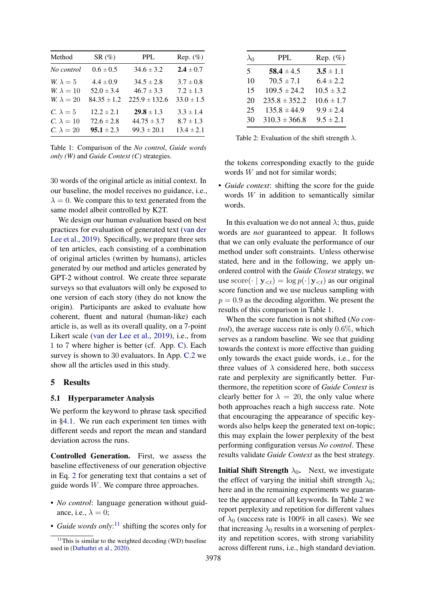<span id="page-5-1"></span>

| Method            | $SR(\%)$        | <b>PPL</b>        | Rep. $(\%)$    |
|-------------------|-----------------|-------------------|----------------|
| No control        | $0.6 \pm 0.5$   | $34.6 \pm 3.2$    | $2.4 \pm 0.7$  |
| W. $\lambda = 5$  | $4.4 \pm 0.9$   | $34.5 \pm 2.8$    | $3.7 \pm 0.8$  |
| W. $\lambda = 10$ | $52.0 \pm 3.4$  | $46.7 \pm 3.3$    | $7.2 \pm 1.3$  |
| $W \lambda = 20$  | $84.35 \pm 1.2$ | $225.9 \pm 132.6$ | $33.0 \pm 1.5$ |
| C. $\lambda = 5$  | $12.2 \pm 2.1$  | $29.8 \pm 1.3$    | $3.3 \pm 1.4$  |
| C. $\lambda = 10$ | $72.6 \pm 2.8$  | $44.75 \pm 3.7$   | $8.7 \pm 1.3$  |
| C. $\lambda = 20$ | $95.1 \pm 2.3$  | $99.3 \pm 20.1$   | $13.4 \pm 2.1$ |

Table 1: Comparison of the *No control*, *Guide words only (W)* and *Guide Context (C)* strategies.

30 words of the original article as initial context. In our baseline, the model receives no guidance, i.e.,  $\lambda = 0$ . We compare this to text generated from the same model albeit controlled by K2T.

We design our human evaluation based on best practices for evaluation of generated text [\(van der](#page-10-14) [Lee et al.,](#page-10-14) [2019\)](#page-10-14). Specifically, we prepare three sets of ten articles, each consisting of a combination of original articles (written by humans), articles generated by our method and articles generated by GPT-2 without control. We create three separate surveys so that evaluators will only be exposed to one version of each story (they do not know the origin). Participants are asked to evaluate how coherent, fluent and natural (human-like) each article is, as well as its overall quality, on a 7-point Likert scale [\(van der Lee et al.,](#page-10-14) [2019\)](#page-10-14), i.e., from 1 to 7 where higher is better (cf. App. [C\)](#page-13-1). Each survey is shown to 30 evaluators. In App. [C.2](#page-15-0) we show all the articles used in this study.

### 5 Results

#### 5.1 Hyperparameter Analysis

We perform the keyword to phrase task specified in [§4.1.](#page-4-1) We run each experiment ten times with different seeds and report the mean and standard deviation across the runs.

Controlled Generation. First, we assess the baseline effectiveness of our generation objective in Eq. [2](#page-2-2) for generating text that contains a set of guide words W. We compare three approaches.

- *No control*: language generation without guidance, i.e.,  $\lambda = 0$ ;
- *Guide words only*: [11](#page-5-0) shifting the scores only for

<span id="page-5-2"></span>

| $\lambda_0$ | <b>PPL</b>        | Rep. $(\%)$    |
|-------------|-------------------|----------------|
| 5.          | $58.4 \pm 4.5$    | $3.5 \pm 1.1$  |
| 10          | $70.5 \pm 7.1$    | $6.4 \pm 2.2$  |
| 15          | $109.5 \pm 24.2$  | $10.5 \pm 3.2$ |
| 20          | $235.8 \pm 352.2$ | $10.6 \pm 1.7$ |
| 25          | $135.8 \pm 44.9$  | $9.9 \pm 2.4$  |
| 30          | $310.3 \pm 366.8$ | $9.5 \pm 2.1$  |

Table 2: Evaluation of the shift strength  $\lambda$ .

the tokens corresponding exactly to the guide words W and not for similar words;

• *Guide context*: shifting the score for the guide words W in addition to semantically similar words.

In this evaluation we do not anneal  $\lambda$ ; thus, guide words are *not* guaranteed to appear. It follows that we can only evaluate the performance of our method under soft constraints. Unless otherwise stated, here and in the following, we apply unordered control with the *Guide Closest* strategy, we use score $(\cdot \mid y_{\leq t}) = \log p(\cdot | y_{\leq t})$  as our original score function and we use nucleus sampling with  $p = 0.9$  as the decoding algorithm. We present the results of this comparison in Table [1.](#page-5-1)

When the score function is not shifted (*No control*), the average success rate is only 0.6%, which serves as a random baseline. We see that guiding towards the context is more effective than guiding only towards the exact guide words, i.e., for the three values of  $\lambda$  considered here, both success rate and perplexity are significantly better. Furthermore, the repetition score of *Guide Context* is clearly better for  $\lambda = 20$ , the only value where both approaches reach a high success rate. Note that encouraging the appearance of specific keywords also helps keep the generated text on-topic; this may explain the lower perplexity of the best performing configuration versus *No control*. These results validate *Guide Context* as the best strategy.

**Initial Shift Strength**  $\lambda_0$ . Next, we investigate the effect of varying the initial shift strength  $\lambda_0$ ; here and in the remaining experiments we guarantee the appearance of all keywords. In Table [2](#page-5-2) we report perplexity and repetition for different values of  $\lambda_0$  (success rate is 100% in all cases). We see that increasing  $\lambda_0$  results in a worsening of perplexity and repetition scores, with strong variability across different runs, i.e., high standard deviation.

<span id="page-5-0"></span> $11$ This is similar to the weighted decoding (WD) baseline used in [\(Dathathri et al.,](#page-9-6) [2020\)](#page-9-6).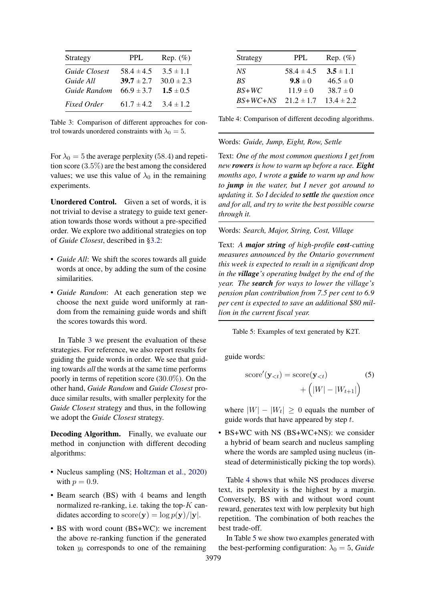<span id="page-6-0"></span>

| Strategy           | <b>PPL</b>     | Rep. $(\%)$    |
|--------------------|----------------|----------------|
| Guide Closest      | $58.4 \pm 4.5$ | $3.5 \pm 1.1$  |
| Guide All          | $39.7 \pm 2.7$ | $30.0 \pm 2.3$ |
| Guide Random       | $66.9 \pm 3.7$ | $1.5 \pm 0.5$  |
| <b>Fixed Order</b> | 61.7 $\pm$ 4.2 | $3.4 \pm 1.2$  |

Table 3: Comparison of different approaches for control towards unordered constraints with  $\lambda_0 = 5$ .

For  $\lambda_0 = 5$  the average perplexity (58.4) and repetition score (3.5%) are the best among the considered values; we use this value of  $\lambda_0$  in the remaining experiments.

Unordered Control. Given a set of words, it is not trivial to devise a strategy to guide text generation towards those words without a pre-specified order. We explore two additional strategies on top of *Guide Closest*, described in [§3.2:](#page-3-3)

- *Guide All*: We shift the scores towards all guide words at once, by adding the sum of the cosine similarities.
- *Guide Random*: At each generation step we choose the next guide word uniformly at random from the remaining guide words and shift the scores towards this word.

In Table [3](#page-6-0) we present the evaluation of these strategies. For reference, we also report results for guiding the guide words in order. We see that guiding towards *all* the words at the same time performs poorly in terms of repetition score (30.0%). On the other hand, *Guide Random* and *Guide Closest* produce similar results, with smaller perplexity for the *Guide Closest* strategy and thus, in the following we adopt the *Guide Closest* strategy.

Decoding Algorithm. Finally, we evaluate our method in conjunction with different decoding algorithms:

- Nucleus sampling (NS; [Holtzman et al.,](#page-9-9) [2020\)](#page-9-9) with  $p = 0.9$ .
- Beam search (BS) with 4 beams and length normalized re-ranking, i.e. taking the top- $K$  candidates according to  $score(y) = log p(y)/|y|$ .
- BS with word count (BS+WC): we increment the above re-ranking function if the generated token  $y_t$  corresponds to one of the remaining

<span id="page-6-1"></span>

| Strategy   | <b>PPL</b>     | Rep. $(\%)$    |
|------------|----------------|----------------|
| NS.        | $58.4 \pm 4.5$ | $3.5 \pm 1.1$  |
| BS.        | $9.8 \pm 0$    | $46.5 \pm 0$   |
| $BS+WC$    | $11.9 \pm 0$   | $38.7 \pm 0$   |
| $BS+WC+NS$ | $21.2 \pm 1.7$ | $13.4 \pm 2.2$ |

Table 4: Comparison of different decoding algorithms.

#### <span id="page-6-2"></span>Words: *Guide, Jump, Eight, Row, Settle*

Text: *One of the most common questions I get from new rowers is how to warm up before a race. Eight months ago, I wrote a guide to warm up and how to jump in the water, but I never got around to updating it. So I decided to settle the question once and for all, and try to write the best possible course through it.*

Words: *Search, Major, String, Cost, Village*

Text: *A major string of high-profile cost-cutting measures announced by the Ontario government this week is expected to result in a significant drop in the village's operating budget by the end of the year. The search for ways to lower the village's pension plan contribution from 7.5 per cent to 6.9 per cent is expected to save an additional \$80 million in the current fiscal year.*

Table 5: Examples of text generated by K2T.

guide words:

score<sup>'</sup>(
$$
\mathbf{y}_{< t}
$$
) = score( $\mathbf{y}_{< t}$ )  
+  $(|W| - |W_{t+1}|)$  (5)

where  $|W| - |W_t| \ge 0$  equals the number of guide words that have appeared by step  $t$ .

• BS+WC with NS (BS+WC+NS): we consider a hybrid of beam search and nucleus sampling where the words are sampled using nucleus (instead of deterministically picking the top words).

Table [4](#page-6-1) shows that while NS produces diverse text, its perplexity is the highest by a margin. Conversely, BS with and without word count reward, generates text with low perplexity but high repetition. The combination of both reaches the best trade-off.

In Table [5](#page-6-2) we show two examples generated with the best-performing configuration:  $\lambda_0 = 5$ , *Guide*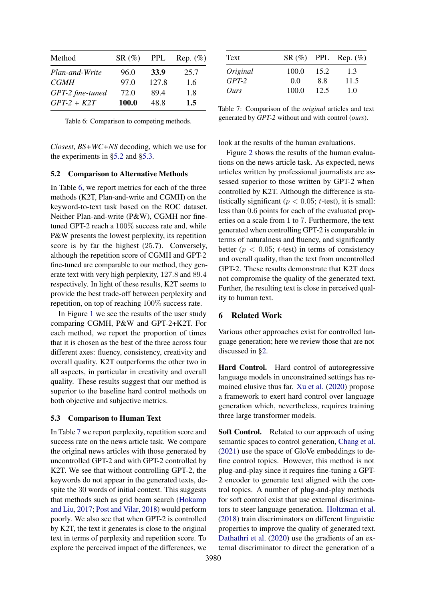<span id="page-7-2"></span>

| Method           | $SR(\%)$ | <b>PPL</b>  | Rep. $(\%)$ |
|------------------|----------|-------------|-------------|
| Plan-and-Write   | 96.0     | <b>33.9</b> | 25.7        |
| <b>CGMH</b>      | 97.0     | 127.8       | 1.6         |
| GPT-2 fine-tuned | 72.0     | 89.4        | 1.8         |
| $GPT-2+K2T$      | 100.0    | 48.8        | 1.5         |

Table 6: Comparison to competing methods.

*Closest*, *BS+WC+NS* decoding, which we use for the experiments in [§5.2](#page-7-0) and [§5.3.](#page-7-1)

#### <span id="page-7-0"></span>5.2 Comparison to Alternative Methods

In Table [6,](#page-7-2) we report metrics for each of the three methods (K2T, Plan-and-write and CGMH) on the keyword-to-text task based on the ROC dataset. Neither Plan-and-write (P&W), CGMH nor finetuned GPT-2 reach a 100% success rate and, while P&W presents the lowest perplexity, its repetition score is by far the highest (25.7). Conversely, although the repetition score of CGMH and GPT-2 fine-tuned are comparable to our method, they generate text with very high perplexity, 127.8 and 89.4 respectively. In light of these results, K2T seems to provide the best trade-off between perplexity and repetition, on top of reaching 100% success rate.

In Figure [1](#page-8-1) we see the results of the user study comparing CGMH, P&W and GPT-2+K2T. For each method, we report the proportion of times that it is chosen as the best of the three across four different axes: fluency, consistency, creativity and overall quality. K2T outperforms the other two in all aspects, in particular in creativity and overall quality. These results suggest that our method is superior to the baseline hard control methods on both objective and subjective metrics.

#### <span id="page-7-1"></span>5.3 Comparison to Human Text

In Table [7](#page-7-3) we report perplexity, repetition score and success rate on the news article task. We compare the original news articles with those generated by uncontrolled GPT-2 and with GPT-2 controlled by K2T. We see that without controlling GPT-2, the keywords do not appear in the generated texts, despite the 30 words of initial context. This suggests that methods such as grid beam search [\(Hokamp](#page-9-3) [and Liu,](#page-9-3) [2017;](#page-9-3) [Post and Vilar,](#page-10-2) [2018\)](#page-10-2) would perform poorly. We also see that when GPT-2 is controlled by K2T, the text it generates is close to the original text in terms of perplexity and repetition score. To explore the perceived impact of the differences, we

<span id="page-7-3"></span>

| Text     |       |      | $SR(\%)$ PPL Rep. $(\%)$ |
|----------|-------|------|--------------------------|
| Original | 100.0 | 15.2 | 1.3                      |
| $GPT-2$  | 0.0   | 88   | 11.5                     |
| Ours     | 100.0 | 12.5 | 1.0                      |

Table 7: Comparison of the *original* articles and text generated by *GPT-2* without and with control (*ours*).

look at the results of the human evaluations.

Figure [2](#page-8-2) shows the results of the human evaluations on the news article task. As expected, news articles written by professional journalists are assessed superior to those written by GPT-2 when controlled by K2T. Although the difference is statistically significant ( $p < 0.05$ ; t-test), it is small: less than 0.6 points for each of the evaluated properties on a scale from 1 to 7. Furthermore, the text generated when controlling GPT-2 is comparable in terms of naturalness and fluency, and significantly better ( $p < 0.05$ ; t-test) in terms of consistency and overall quality, than the text from uncontrolled GPT-2. These results demonstrate that K2T does not compromise the quality of the generated text. Further, the resulting text is close in perceived quality to human text.

### 6 Related Work

Various other approaches exist for controlled language generation; here we review those that are not discussed in [§2.](#page-1-3)

Hard Control. Hard control of autoregressive language models in unconstrained settings has remained elusive thus far. [Xu et al.](#page-10-15) [\(2020\)](#page-10-15) propose a framework to exert hard control over language generation which, nevertheless, requires training three large transformer models.

Soft Control. Related to our approach of using semantic spaces to control generation, [Chang et al.](#page-8-3) [\(2021\)](#page-8-3) use the space of GloVe embeddings to define control topics. However, this method is not plug-and-play since it requires fine-tuning a GPT-2 encoder to generate text aligned with the control topics. A number of plug-and-play methods for soft control exist that use external discriminators to steer language generation. [Holtzman et al.](#page-9-19) [\(2018\)](#page-9-19) train discriminators on different linguistic properties to improve the quality of generated text. [Dathathri et al.](#page-9-6) [\(2020\)](#page-9-6) use the gradients of an external discriminator to direct the generation of a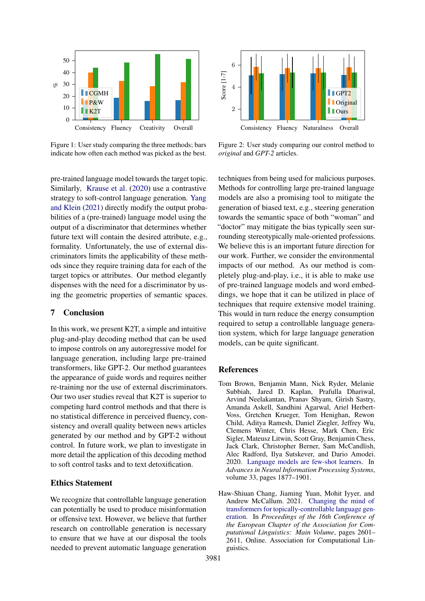<span id="page-8-1"></span>

Figure 1: User study comparing the three methods; bars indicate how often each method was picked as the best.

Consistency Fluency Naturalness Overall  $\overline{2}$ Score [1-7] **GPT2 I** Original ll Ours

Figure 2: User study comparing our control method to *original* and *GPT-2* articles.

pre-trained language model towards the target topic. Similarly, [Krause et al.](#page-9-7) [\(2020\)](#page-9-7) use a contrastive strategy to soft-control language generation. [Yang](#page-10-16) [and Klein](#page-10-16) [\(2021\)](#page-10-16) directly modify the output probabilities of a (pre-trained) language model using the output of a discriminator that determines whether future text will contain the desired attribute, e.g., formality. Unfortunately, the use of external discriminators limits the applicability of these methods since they require training data for each of the target topics or attributes. Our method elegantly dispenses with the need for a discriminator by using the geometric properties of semantic spaces.

## 7 Conclusion

In this work, we present K2T, a simple and intuitive plug-and-play decoding method that can be used to impose controls on any autoregressive model for language generation, including large pre-trained transformers, like GPT-2. Our method guarantees the appearance of guide words and requires neither re-training nor the use of external discriminators. Our two user studies reveal that K2T is superior to competing hard control methods and that there is no statistical difference in perceived fluency, consistency and overall quality between news articles generated by our method and by GPT-2 without control. In future work, we plan to investigate in more detail the application of this decoding method to soft control tasks and to text detoxification.

## Ethics Statement

We recognize that controllable language generation can potentially be used to produce misinformation or offensive text. However, we believe that further research on controllable generation is necessary to ensure that we have at our disposal the tools needed to prevent automatic language generation

techniques from being used for malicious purposes. Methods for controlling large pre-trained language models are also a promising tool to mitigate the generation of biased text, e.g., steering generation towards the semantic space of both "woman" and "doctor" may mitigate the bias typically seen surrounding stereotypically male-oriented professions. We believe this is an important future direction for our work. Further, we consider the environmental impacts of our method. As our method is completely plug-and-play, i.e., it is able to make use of pre-trained language models and word embeddings, we hope that it can be utilized in place of techniques that require extensive model training. This would in turn reduce the energy consumption required to setup a controllable language generation system, which for large language generation models, can be quite significant.

### References

4

<span id="page-8-2"></span>6

- <span id="page-8-0"></span>Tom Brown, Benjamin Mann, Nick Ryder, Melanie Subbiah, Jared D. Kaplan, Prafulla Dhariwal, Arvind Neelakantan, Pranav Shyam, Girish Sastry, Amanda Askell, Sandhini Agarwal, Ariel Herbert-Voss, Gretchen Krueger, Tom Henighan, Rewon Child, Aditya Ramesh, Daniel Ziegler, Jeffrey Wu, Clemens Winter, Chris Hesse, Mark Chen, Eric Sigler, Mateusz Litwin, Scott Gray, Benjamin Chess, Jack Clark, Christopher Berner, Sam McCandlish, Alec Radford, Ilya Sutskever, and Dario Amodei. 2020. [Language models are few-shot learners.](https://proceedings.neurips.cc/paper/2020/file/1457c0d6bfcb4967418bfb8ac142f64a-Paper.pdf) In *Advances in Neural Information Processing Systems*, volume 33, pages 1877–1901.
- <span id="page-8-3"></span>Haw-Shiuan Chang, Jiaming Yuan, Mohit Iyyer, and Andrew McCallum. 2021. [Changing the mind of](https://aclanthology.org/2021.eacl-main.223) [transformers for topically-controllable language gen](https://aclanthology.org/2021.eacl-main.223)[eration.](https://aclanthology.org/2021.eacl-main.223) In *Proceedings of the 16th Conference of the European Chapter of the Association for Computational Linguistics: Main Volume*, pages 2601– 2611, Online. Association for Computational Linguistics.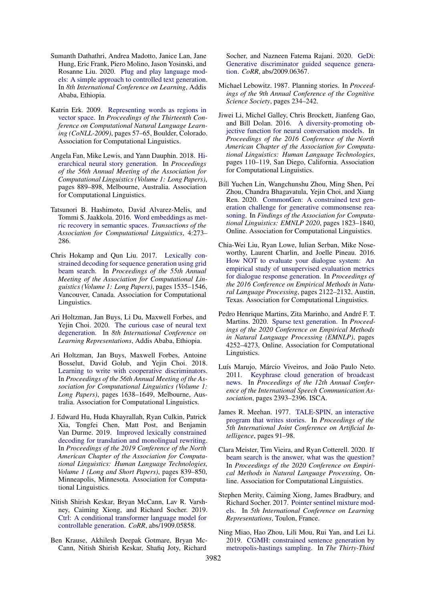- <span id="page-9-6"></span>Sumanth Dathathri, Andrea Madotto, Janice Lan, Jane Hung, Eric Frank, Piero Molino, Jason Yosinski, and Rosanne Liu. 2020. [Plug and play language mod](https://openreview.net/forum?id=H1edEyBKDS)[els: A simple approach to controlled text generation.](https://openreview.net/forum?id=H1edEyBKDS) In *8th International Conference on Learning*, Addis Ababa, Ethiopia.
- <span id="page-9-8"></span>Katrin Erk. 2009. [Representing words as regions in](https://aclanthology.org/W09-1109) [vector space.](https://aclanthology.org/W09-1109) In *Proceedings of the Thirteenth Conference on Computational Natural Language Learning (CoNLL-2009)*, pages 57–65, Boulder, Colorado. Association for Computational Linguistics.
- <span id="page-9-2"></span>Angela Fan, Mike Lewis, and Yann Dauphin. 2018. [Hi](https://doi.org/10.18653/v1/P18-1082)[erarchical neural story generation.](https://doi.org/10.18653/v1/P18-1082) In *Proceedings of the 56th Annual Meeting of the Association for Computational Linguistics (Volume 1: Long Papers)*, pages 889–898, Melbourne, Australia. Association for Computational Linguistics.
- <span id="page-9-5"></span>Tatsunori B. Hashimoto, David Alvarez-Melis, and Tommi S. Jaakkola. 2016. [Word embeddings as met](https://doi.org/10.1162/tacl_a_00098)[ric recovery in semantic spaces.](https://doi.org/10.1162/tacl_a_00098) *Transactions of the Association for Computational Linguistics*, 4:273– 286.
- <span id="page-9-3"></span>Chris Hokamp and Qun Liu. 2017. [Lexically con](https://doi.org/10.18653/v1/P17-1141)[strained decoding for sequence generation using grid](https://doi.org/10.18653/v1/P17-1141) [beam search.](https://doi.org/10.18653/v1/P17-1141) In *Proceedings of the 55th Annual Meeting of the Association for Computational Linguistics (Volume 1: Long Papers)*, pages 1535–1546, Vancouver, Canada. Association for Computational Linguistics.
- <span id="page-9-9"></span>Ari Holtzman, Jan Buys, Li Du, Maxwell Forbes, and Yejin Choi. 2020. [The curious case of neural text](https://openreview.net/forum?id=rygGQyrFvH) [degeneration.](https://openreview.net/forum?id=rygGQyrFvH) In *8th International Conference on Learning Representations*, Addis Ababa, Ethiopia.
- <span id="page-9-19"></span>Ari Holtzman, Jan Buys, Maxwell Forbes, Antoine Bosselut, David Golub, and Yejin Choi. 2018. [Learning to write with cooperative discriminators.](https://doi.org/10.18653/v1/P18-1152) In *Proceedings of the 56th Annual Meeting of the Association for Computational Linguistics (Volume 1: Long Papers)*, pages 1638–1649, Melbourne, Australia. Association for Computational Linguistics.
- <span id="page-9-12"></span>J. Edward Hu, Huda Khayrallah, Ryan Culkin, Patrick Xia, Tongfei Chen, Matt Post, and Benjamin Van Durme. 2019. [Improved lexically constrained](https://doi.org/10.18653/v1/N19-1090) [decoding for translation and monolingual rewriting.](https://doi.org/10.18653/v1/N19-1090) In *Proceedings of the 2019 Conference of the North American Chapter of the Association for Computational Linguistics: Human Language Technologies, Volume 1 (Long and Short Papers)*, pages 839–850, Minneapolis, Minnesota. Association for Computational Linguistics.
- <span id="page-9-4"></span>Nitish Shirish Keskar, Bryan McCann, Lav R. Varshney, Caiming Xiong, and Richard Socher. 2019. [Ctrl: A conditional transformer language model for](http://arxiv.org/abs/1909.05858) [controllable generation.](http://arxiv.org/abs/1909.05858) *CoRR*, abs/1909.05858.
- <span id="page-9-7"></span>Ben Krause, Akhilesh Deepak Gotmare, Bryan Mc-Cann, Nitish Shirish Keskar, Shafiq Joty, Richard

Socher, and Nazneen Fatema Rajani. 2020. [GeDi:](http://arxiv.org/abs/2009.06367) [Generative discriminator guided sequence genera](http://arxiv.org/abs/2009.06367)[tion.](http://arxiv.org/abs/2009.06367) *CoRR*, abs/2009.06367.

- <span id="page-9-1"></span>Michael Lebowitz. 1987. Planning stories. In *Proceedings of the 9th Annual Conference of the Cognitive Science Society*, pages 234–242.
- <span id="page-9-11"></span>Jiwei Li, Michel Galley, Chris Brockett, Jianfeng Gao, and Bill Dolan. 2016. [A diversity-promoting ob](https://doi.org/10.18653/v1/N16-1014)[jective function for neural conversation models.](https://doi.org/10.18653/v1/N16-1014) In *Proceedings of the 2016 Conference of the North American Chapter of the Association for Computational Linguistics: Human Language Technologies*, pages 110–119, San Diego, California. Association for Computational Linguistics.
- <span id="page-9-18"></span>Bill Yuchen Lin, Wangchunshu Zhou, Ming Shen, Pei Zhou, Chandra Bhagavatula, Yejin Choi, and Xiang Ren. 2020. [CommonGen: A constrained text gen](https://doi.org/10.18653/v1/2020.findings-emnlp.165)[eration challenge for generative commonsense rea](https://doi.org/10.18653/v1/2020.findings-emnlp.165)[soning.](https://doi.org/10.18653/v1/2020.findings-emnlp.165) In *Findings of the Association for Computational Linguistics: EMNLP 2020*, pages 1823–1840, Online. Association for Computational Linguistics.
- <span id="page-9-15"></span>Chia-Wei Liu, Ryan Lowe, Iulian Serban, Mike Noseworthy, Laurent Charlin, and Joelle Pineau. 2016. [How NOT to evaluate your dialogue system: An](https://doi.org/10.18653/v1/D16-1230) [empirical study of unsupervised evaluation metrics](https://doi.org/10.18653/v1/D16-1230) [for dialogue response generation.](https://doi.org/10.18653/v1/D16-1230) In *Proceedings of the 2016 Conference on Empirical Methods in Natural Language Processing*, pages 2122–2132, Austin, Texas. Association for Computational Linguistics.
- <span id="page-9-14"></span>Pedro Henrique Martins, Zita Marinho, and André F. T. Martins. 2020. [Sparse text generation.](https://doi.org/10.18653/v1/2020.emnlp-main.348) In *Proceedings of the 2020 Conference on Empirical Methods in Natural Language Processing (EMNLP)*, pages 4252–4273, Online. Association for Computational Linguistics.
- <span id="page-9-17"></span>Luís Marujo, Márcio Viveiros, and João Paulo Neto. 2011. [Keyphrase cloud generation of broadcast](http://www.isca-speech.org/archive/interspeech_2011/i11_2393.html) [news.](http://www.isca-speech.org/archive/interspeech_2011/i11_2393.html) In *Proceedings of the 12th Annual Conference of the International Speech Communication Association*, pages 2393–2396. ISCA.
- <span id="page-9-0"></span>James R. Meehan. 1977. [TALE-SPIN, an interactive](http://ijcai.org/Proceedings/77-1/Papers/013.pdf) [program that writes stories.](http://ijcai.org/Proceedings/77-1/Papers/013.pdf) In *Proceedings of the 5th International Joint Conference on Artificial Intelligence*, pages 91–98.
- <span id="page-9-10"></span>Clara Meister, Tim Vieira, and Ryan Cotterell. 2020. [If](https://aclanthology.org/2020.emnlp-main.170.pdf) [beam search is the answer, what was the question?](https://aclanthology.org/2020.emnlp-main.170.pdf) In *Proceedings of the 2020 Conference on Empirical Methods in Natural Language Processing*, Online. Association for Computational Linguistics.
- <span id="page-9-16"></span>Stephen Merity, Caiming Xiong, James Bradbury, and Richard Socher. 2017. [Pointer sentinel mixture mod](https://openreview.net/forum?id=Byj72udxe)[els.](https://openreview.net/forum?id=Byj72udxe) In *5th International Conference on Learning Representations*, Toulon, France.
- <span id="page-9-13"></span>Ning Miao, Hao Zhou, Lili Mou, Rui Yan, and Lei Li. 2019. [CGMH: constrained sentence generation by](https://doi.org/10.1609/aaai.v33i01.33016834) [metropolis-hastings sampling.](https://doi.org/10.1609/aaai.v33i01.33016834) In *The Thirty-Third*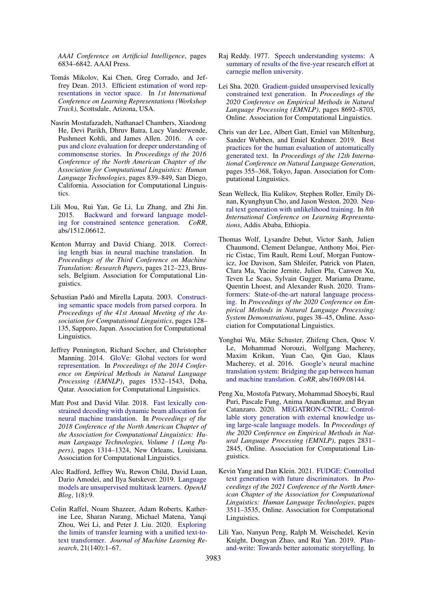*AAAI Conference on Artificial Intelligence*, pages 6834–6842. AAAI Press.

- <span id="page-10-4"></span>Tomás Mikolov, Kai Chen, Greg Corrado, and Jeffrey Dean. 2013. [Efficient estimation of word rep](http://arxiv.org/abs/1301.3781)[resentations in vector space.](http://arxiv.org/abs/1301.3781) In *1st International Conference on Learning Representations (Workshop Track)*, Scottsdale, Arizona, USA.
- <span id="page-10-17"></span>Nasrin Mostafazadeh, Nathanael Chambers, Xiaodong He, Devi Parikh, Dhruv Batra, Lucy Vanderwende, Pushmeet Kohli, and James Allen. 2016. [A cor](https://doi.org/10.18653/v1/N16-1098)[pus and cloze evaluation for deeper understanding of](https://doi.org/10.18653/v1/N16-1098) [commonsense stories.](https://doi.org/10.18653/v1/N16-1098) In *Proceedings of the 2016 Conference of the North American Chapter of the Association for Computational Linguistics: Human Language Technologies*, pages 839–849, San Diego, California. Association for Computational Linguistics.
- <span id="page-10-13"></span>Lili Mou, Rui Yan, Ge Li, Lu Zhang, and Zhi Jin. 2015. [Backward and forward language model](https://arxiv.org/abs/1512.06612)[ing for constrained sentence generation.](https://arxiv.org/abs/1512.06612) *CoRR*, abs/1512.06612.
- <span id="page-10-7"></span>Kenton Murray and David Chiang. 2018. [Correct](https://doi.org/10.18653/v1/W18-6322)[ing length bias in neural machine translation.](https://doi.org/10.18653/v1/W18-6322) In *Proceedings of the Third Conference on Machine Translation: Research Papers*, pages 212–223, Brussels, Belgium. Association for Computational Linguistics.
- <span id="page-10-3"></span>Sebastian Padó and Mirella Lapata. 2003. [Construct](https://doi.org/10.3115/1075096.1075113)[ing semantic space models from parsed corpora.](https://doi.org/10.3115/1075096.1075113) In *Proceedings of the 41st Annual Meeting of the Association for Computational Linguistics*, pages 128– 135, Sapporo, Japan. Association for Computational Linguistics.
- <span id="page-10-5"></span>Jeffrey Pennington, Richard Socher, and Christopher Manning. 2014. [GloVe: Global vectors for word](https://doi.org/10.3115/v1/D14-1162) [representation.](https://doi.org/10.3115/v1/D14-1162) In *Proceedings of the 2014 Conference on Empirical Methods in Natural Language Processing (EMNLP)*, pages 1532–1543, Doha, Qatar. Association for Computational Linguistics.
- <span id="page-10-2"></span>Matt Post and David Vilar. 2018. [Fast lexically con](https://doi.org/10.18653/v1/N18-1119)[strained decoding with dynamic beam allocation for](https://doi.org/10.18653/v1/N18-1119) [neural machine translation.](https://doi.org/10.18653/v1/N18-1119) In *Proceedings of the 2018 Conference of the North American Chapter of the Association for Computational Linguistics: Human Language Technologies, Volume 1 (Long Papers)*, pages 1314–1324, New Orleans, Louisiana. Association for Computational Linguistics.
- <span id="page-10-0"></span>Alec Radford, Jeffrey Wu, Rewon Child, David Luan, Dario Amodei, and Ilya Sutskever. 2019. [Language](https://openai.com/blog/better-language-models/) [models are unsupervised multitask learners.](https://openai.com/blog/better-language-models/) *OpenAI Blog*, 1(8):9.
- <span id="page-10-1"></span>Colin Raffel, Noam Shazeer, Adam Roberts, Katherine Lee, Sharan Narang, Michael Matena, Yanqi Zhou, Wei Li, and Peter J. Liu. 2020. [Exploring](http://jmlr.org/papers/v21/20-074.html) [the limits of transfer learning with a unified text-to](http://jmlr.org/papers/v21/20-074.html)[text transformer.](http://jmlr.org/papers/v21/20-074.html) *Journal of Machine Learning Research*, 21(140):1–67.
- <span id="page-10-6"></span>Raj Reddy. 1977. [Speech understanding systems: A](https://doi.org/10.1184/R1/6609821.v1) [summary of results of the five-year research effort at](https://doi.org/10.1184/R1/6609821.v1) [carnegie mellon university.](https://doi.org/10.1184/R1/6609821.v1)
- <span id="page-10-9"></span>Lei Sha. 2020. [Gradient-guided unsupervised lexically](https://doi.org/10.18653/v1/2020.emnlp-main.701) [constrained text generation.](https://doi.org/10.18653/v1/2020.emnlp-main.701) In *Proceedings of the 2020 Conference on Empirical Methods in Natural Language Processing (EMNLP)*, pages 8692–8703, Online. Association for Computational Linguistics.
- <span id="page-10-14"></span>Chris van der Lee, Albert Gatt, Emiel van Miltenburg, Sander Wubben, and Emiel Krahmer. 2019. [Best](https://doi.org/10.18653/v1/W19-8643) [practices for the human evaluation of automatically](https://doi.org/10.18653/v1/W19-8643) [generated text.](https://doi.org/10.18653/v1/W19-8643) In *Proceedings of the 12th International Conference on Natural Language Generation*, pages 355–368, Tokyo, Japan. Association for Computational Linguistics.
- <span id="page-10-10"></span>Sean Welleck, Ilia Kulikov, Stephen Roller, Emily Dinan, Kyunghyun Cho, and Jason Weston. 2020. [Neu](https://openreview.net/forum?id=SJeYe0NtvH)[ral text generation with unlikelihood training.](https://openreview.net/forum?id=SJeYe0NtvH) In *8th International Conference on Learning Representations*, Addis Ababa, Ethiopia.
- <span id="page-10-11"></span>Thomas Wolf, Lysandre Debut, Victor Sanh, Julien Chaumond, Clement Delangue, Anthony Moi, Pierric Cistac, Tim Rault, Remi Louf, Morgan Funtowicz, Joe Davison, Sam Shleifer, Patrick von Platen, Clara Ma, Yacine Jernite, Julien Plu, Canwen Xu, Teven Le Scao, Sylvain Gugger, Mariama Drame, Quentin Lhoest, and Alexander Rush. 2020. [Trans](https://doi.org/10.18653/v1/2020.emnlp-demos.6)[formers: State-of-the-art natural language process](https://doi.org/10.18653/v1/2020.emnlp-demos.6)[ing.](https://doi.org/10.18653/v1/2020.emnlp-demos.6) In *Proceedings of the 2020 Conference on Empirical Methods in Natural Language Processing: System Demonstrations*, pages 38–45, Online. Association for Computational Linguistics.
- <span id="page-10-8"></span>Yonghui Wu, Mike Schuster, Zhifeng Chen, Quoc V. Le, Mohammad Norouzi, Wolfgang Macherey, Maxim Krikun, Yuan Cao, Qin Gao, Klaus Macherey, et al. 2016. [Google's neural machine](https://arxiv.org/abs/1609.08144) [translation system: Bridging the gap between human](https://arxiv.org/abs/1609.08144) [and machine translation.](https://arxiv.org/abs/1609.08144) *CoRR*, abs/1609.08144.
- <span id="page-10-15"></span>Peng Xu, Mostofa Patwary, Mohammad Shoeybi, Raul Puri, Pascale Fung, Anima Anandkumar, and Bryan Catanzaro. 2020. [MEGATRON-CNTRL: Control](https://doi.org/10.18653/v1/2020.emnlp-main.226)[lable story generation with external knowledge us](https://doi.org/10.18653/v1/2020.emnlp-main.226)[ing large-scale language models.](https://doi.org/10.18653/v1/2020.emnlp-main.226) In *Proceedings of the 2020 Conference on Empirical Methods in Natural Language Processing (EMNLP)*, pages 2831– 2845, Online. Association for Computational Linguistics.
- <span id="page-10-16"></span>Kevin Yang and Dan Klein. 2021. [FUDGE: Controlled](https://doi.org/10.18653/v1/2021.naacl-main.276) [text generation with future discriminators.](https://doi.org/10.18653/v1/2021.naacl-main.276) In *Proceedings of the 2021 Conference of the North American Chapter of the Association for Computational Linguistics: Human Language Technologies*, pages 3511–3535, Online. Association for Computational Linguistics.
- <span id="page-10-12"></span>Lili Yao, Nanyun Peng, Ralph M. Weischedel, Kevin Knight, Dongyan Zhao, and Rui Yan. 2019. [Plan](https://doi.org/10.1609/aaai.v33i01.33017378)[and-write: Towards better automatic storytelling.](https://doi.org/10.1609/aaai.v33i01.33017378) In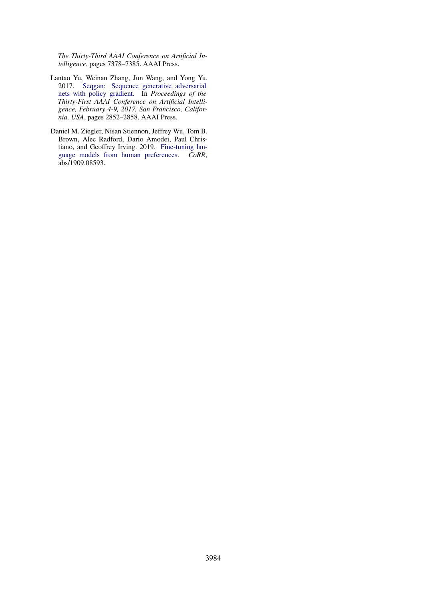*The Thirty-Third AAAI Conference on Artificial Intelligence*, pages 7378–7385. AAAI Press.

- <span id="page-11-1"></span>Lantao Yu, Weinan Zhang, Jun Wang, and Yong Yu. 2017. [Seqgan: Sequence generative adversarial](http://aaai.org/ocs/index.php/AAAI/AAAI17/paper/view/14344) [nets with policy gradient.](http://aaai.org/ocs/index.php/AAAI/AAAI17/paper/view/14344) In *Proceedings of the Thirty-First AAAI Conference on Artificial Intelligence, February 4-9, 2017, San Francisco, California, USA*, pages 2852–2858. AAAI Press.
- <span id="page-11-0"></span>Daniel M. Ziegler, Nisan Stiennon, Jeffrey Wu, Tom B. Brown, Alec Radford, Dario Amodei, Paul Christiano, and Geoffrey Irving. 2019. [Fine-tuning lan](https://arxiv.org/abs/1909.08593)[guage models from human preferences.](https://arxiv.org/abs/1909.08593) *CoRR*, abs/1909.08593.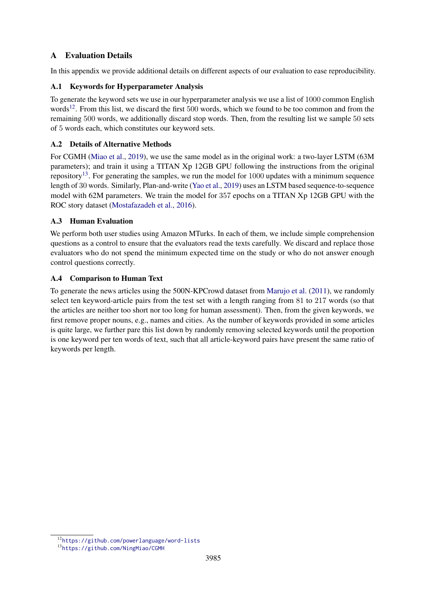# <span id="page-12-0"></span>A Evaluation Details

In this appendix we provide additional details on different aspects of our evaluation to ease reproducibility.

## A.1 Keywords for Hyperparameter Analysis

To generate the keyword sets we use in our hyperparameter analysis we use a list of 1000 common English words<sup>[12](#page-12-1)</sup>. From this list, we discard the first 500 words, which we found to be too common and from the remaining 500 words, we additionally discard stop words. Then, from the resulting list we sample 50 sets of 5 words each, which constitutes our keyword sets.

# A.2 Details of Alternative Methods

For CGMH [\(Miao et al.,](#page-9-13) [2019\)](#page-9-13), we use the same model as in the original work: a two-layer LSTM (63M parameters); and train it using a TITAN Xp 12GB GPU following the instructions from the original repository<sup>[13](#page-12-2)</sup>. For generating the samples, we run the model for  $1000$  updates with a minimum sequence length of 30 words. Similarly, Plan-and-write [\(Yao et al.,](#page-10-12) [2019\)](#page-10-12) uses an LSTM based sequence-to-sequence model with 62M parameters. We train the model for 357 epochs on a TITAN Xp 12GB GPU with the ROC story dataset [\(Mostafazadeh et al.,](#page-10-17) [2016\)](#page-10-17).

# A.3 Human Evaluation

We perform both user studies using Amazon MTurks. In each of them, we include simple comprehension questions as a control to ensure that the evaluators read the texts carefully. We discard and replace those evaluators who do not spend the minimum expected time on the study or who do not answer enough control questions correctly.

## A.4 Comparison to Human Text

To generate the news articles using the 500N-KPCrowd dataset from [Marujo et al.](#page-9-17) [\(2011\)](#page-9-17), we randomly select ten keyword-article pairs from the test set with a length ranging from 81 to 217 words (so that the articles are neither too short nor too long for human assessment). Then, from the given keywords, we first remove proper nouns, e.g., names and cities. As the number of keywords provided in some articles is quite large, we further pare this list down by randomly removing selected keywords until the proportion is one keyword per ten words of text, such that all article-keyword pairs have present the same ratio of keywords per length.

<span id="page-12-1"></span><sup>12</sup><https://github.com/powerlanguage/word-lists>

<span id="page-12-2"></span><sup>13</sup><https://github.com/NingMiao/CGMH>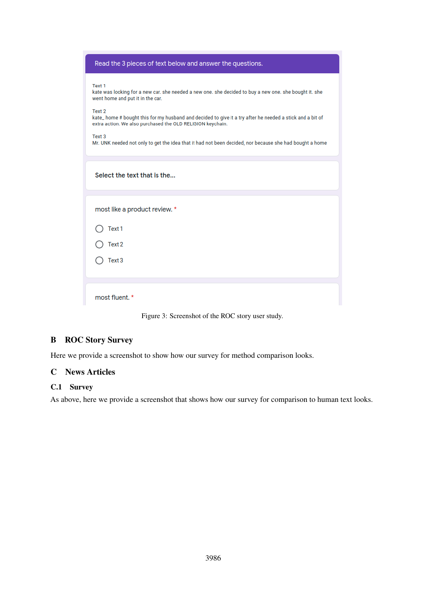| Read the 3 pieces of text below and answer the questions.                                                                                                                                                                                                                                                                                 |
|-------------------------------------------------------------------------------------------------------------------------------------------------------------------------------------------------------------------------------------------------------------------------------------------------------------------------------------------|
| Text 1<br>kate was looking for a new car. she needed a new one. she decided to buy a new one. she bought it. she<br>went home and put it in the car.<br>Text 2<br>kate_ home # bought this for my husband and decided to give it a try after he needed a stick and a bit of<br>extra action. We also purchased the OLD RELIGION keychain. |
| Text 3<br>Mr. UNK needed not only to get the idea that it had not been decided, nor because she had bought a home                                                                                                                                                                                                                         |
| Select the text that is the                                                                                                                                                                                                                                                                                                               |
| most like a product review. *                                                                                                                                                                                                                                                                                                             |
| Text 1                                                                                                                                                                                                                                                                                                                                    |
| Text 2                                                                                                                                                                                                                                                                                                                                    |
| Text 3                                                                                                                                                                                                                                                                                                                                    |
| most fluent. *                                                                                                                                                                                                                                                                                                                            |

Figure 3: Screenshot of the ROC story user study.

# <span id="page-13-0"></span>B ROC Story Survey

Here we provide a screenshot to show how our survey for method comparison looks.

# <span id="page-13-1"></span>C News Articles

# C.1 Survey

As above, here we provide a screenshot that shows how our survey for comparison to human text looks.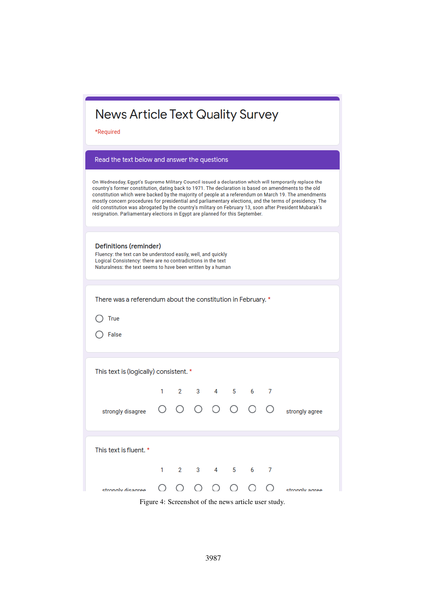\*Required

### Read the text below and answer the questions

On Wednesday, Egypt's Supreme Military Council issued a declaration which will temporarily replace the country's former constitution, dating back to 1971. The declaration is based on amendments to the old constitution which were backed by the majority of people at a referendum on March 19. The amendments mostly concern procedures for presidential and parliamentary elections, and the terms of presidency. The old constitution was abrogated by the country's military on February 13, soon after President Mubarak's resignation. Parliamentary elections in Egypt are planned for this September.

| Definitions (reminder) |  |
|------------------------|--|
|------------------------|--|

Fluency: the text can be understood easily, well, and quickly Logical Consistency: there are no contradictions in the text Naturalness: the text seems to have been written by a human

There was a referendum about the constitution in February. \*

 $\bigcap$  True

 $\bigcap$  False

| This text is (logically) consistent. * |  |  |  |  |                                                     |  |                |
|----------------------------------------|--|--|--|--|-----------------------------------------------------|--|----------------|
|                                        |  |  |  |  | $1 \quad 2 \quad 3 \quad 4 \quad 5 \quad 6 \quad 7$ |  |                |
| strongly disagree                      |  |  |  |  | 0 0 0 0 0 0 0                                       |  | strongly agree |
|                                        |  |  |  |  |                                                     |  |                |
| This text is fluent. *                 |  |  |  |  |                                                     |  |                |
|                                        |  |  |  |  | $1 \t2 \t3 \t4 \t5 \t6 \t7$                         |  |                |
| strongly disagree                      |  |  |  |  | 0000000                                             |  | strongly agree |

Figure 4: Screenshot of the news article user study.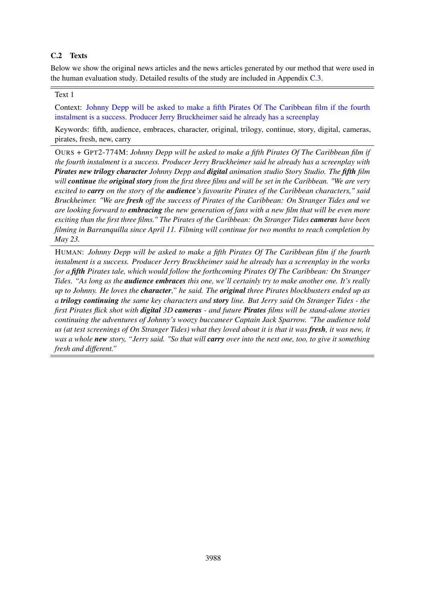## <span id="page-15-0"></span>C.2 Texts

Below we show the original news articles and the news articles generated by our method that were used in the human evaluation study. Detailed results of the study are included in Appendix [C.3.](#page-24-0)

## Text 1

Context: Johnny Depp will be asked to make a fifth Pirates Of The Caribbean film if the fourth instalment is a success. Producer Jerry Bruckheimer said he already has a screenplay

Keywords: fifth, audience, embraces, character, original, trilogy, continue, story, digital, cameras, pirates, fresh, new, carry

OURS + GPT2-774M: *Johnny Depp will be asked to make a fifth Pirates Of The Caribbean film if the fourth instalment is a success. Producer Jerry Bruckheimer said he already has a screenplay with Pirates new trilogy character Johnny Depp and digital animation studio Story Studio. The fifth film will continue the original story from the first three films and will be set in the Caribbean. "We are very excited to carry on the story of the audience's favourite Pirates of the Caribbean characters," said Bruckheimer. "We are fresh off the success of Pirates of the Caribbean: On Stranger Tides and we are looking forward to embracing the new generation of fans with a new film that will be even more exciting than the first three films." The Pirates of the Caribbean: On Stranger Tides cameras have been filming in Barranquilla since April 11. Filming will continue for two months to reach completion by May 23.*

HUMAN: *Johnny Depp will be asked to make a fifth Pirates Of The Caribbean film if the fourth instalment is a success. Producer Jerry Bruckheimer said he already has a screenplay in the works for a fifth Pirates tale, which would follow the forthcoming Pirates Of The Caribbean: On Stranger Tides. "As long as the audience embraces this one, we'll certainly try to make another one. It's really up to Johnny. He loves the character," he said. The original three Pirates blockbusters ended up as a trilogy continuing the same key characters and story line. But Jerry said On Stranger Tides - the first Pirates flick shot with digital 3D cameras - and future Pirates films will be stand-alone stories continuing the adventures of Johnny's woozy buccaneer Captain Jack Sparrow. "The audience told us (at test screenings of On Stranger Tides) what they loved about it is that it was fresh, it was new, it was a whole new story, "Jerry said. "So that will carry over into the next one, too, to give it something fresh and different."*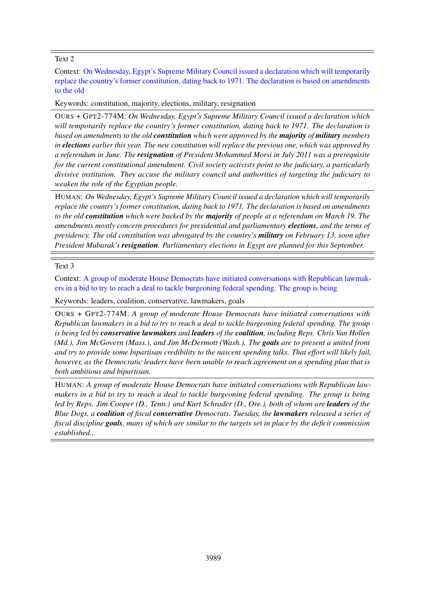Context: On Wednesday, Egypt's Supreme Military Council issued a declaration which will temporarily replace the country's former constitution, dating back to 1971. The declaration is based on amendments to the old

Keywords: constitution, majority, elections, military, resignation

OURS + GPT2-774M: *On Wednesday, Egypt's Supreme Military Council issued a declaration which will temporarily replace the country's former constitution, dating back to 1971. The declaration is based on amendments to the old constitution which were approved by the majority of military members in elections earlier this year. The new constitution will replace the previous one, which was approved by a referendum in June. The resignation of President Mohammed Morsi in July 2011 was a prerequisite for the current constitutional amendment. Civil society activists point to the judiciary, a particularly divisive institution. They accuse the military council and authorities of targeting the judiciary to weaken the role of the Egyptian people.*

HUMAN: *On Wednesday, Egypt's Supreme Military Council issued a declaration which will temporarily replace the country's former constitution, dating back to 1971. The declaration is based on amendments to the old constitution which were backed by the majority of people at a referendum on March 19. The amendments mostly concern procedures for presidential and parliamentary elections, and the terms of presidency. The old constitution was abrogated by the country's military on February 13, soon after President Mubarak's resignation. Parliamentary elections in Egypt are planned for this September.*

### Text 3

Context: A group of moderate House Democrats have initiated conversations with Republican lawmakers in a bid to try to reach a deal to tackle burgeoning federal spending. The group is being

Keywords: leaders, coalition, conservative, lawmakers, goals

OURS + GPT2-774M: *A group of moderate House Democrats have initiated conversations with Republican lawmakers in a bid to try to reach a deal to tackle burgeoning federal spending. The group is being led by conservative lawmakers and leaders of the coalition, including Reps. Chris Van Hollen (Md.), Jim McGovern (Mass.), and Jim McDermott (Wash.). The goals are to present a united front and try to provide some bipartisan credibility to the nascent spending talks. That effort will likely fail, however, as the Democratic leaders have been unable to reach agreement on a spending plan that is both ambitious and bipartisan.*

HUMAN: *A group of moderate House Democrats have initiated conversations with Republican lawmakers in a bid to try to reach a deal to tackle burgeoning federal spending. The group is being led by Reps. Jim Cooper (D., Tenn.) and Kurt Schrader (D., Ore.), both of whom are leaders of the Blue Dogs, a coalition of fiscal conservative Democrats. Tuesday, the lawmakers released a series of fiscal discipline goals, many of which are similar to the targets set in place by the deficit commission established...*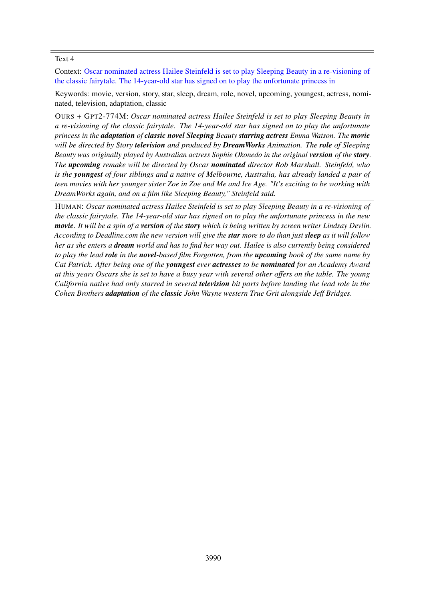Context: Oscar nominated actress Hailee Steinfeld is set to play Sleeping Beauty in a re-visioning of the classic fairytale. The 14-year-old star has signed on to play the unfortunate princess in

Keywords: movie, version, story, star, sleep, dream, role, novel, upcoming, youngest, actress, nominated, television, adaptation, classic

OURS + GPT2-774M: *Oscar nominated actress Hailee Steinfeld is set to play Sleeping Beauty in a re-visioning of the classic fairytale. The 14-year-old star has signed on to play the unfortunate princess in the adaptation of classic novel Sleeping Beauty starring actress Emma Watson. The movie will be directed by Story television and produced by DreamWorks Animation. The role of Sleeping Beauty was originally played by Australian actress Sophie Okonedo in the original version of the story. The upcoming remake will be directed by Oscar nominated director Rob Marshall. Steinfeld, who is the youngest of four siblings and a native of Melbourne, Australia, has already landed a pair of teen movies with her younger sister Zoe in Zoe and Me and Ice Age. "It's exciting to be working with DreamWorks again, and on a film like Sleeping Beauty," Steinfeld said.*

HUMAN: *Oscar nominated actress Hailee Steinfeld is set to play Sleeping Beauty in a re-visioning of the classic fairytale. The 14-year-old star has signed on to play the unfortunate princess in the new movie. It will be a spin of a version of the story which is being written by screen writer Lindsay Devlin. According to Deadline.com the new version will give the star more to do than just sleep as it will follow her as she enters a dream world and has to find her way out. Hailee is also currently being considered to play the lead role in the novel-based film Forgotten, from the upcoming book of the same name by Cat Patrick. After being one of the youngest ever actresses to be nominated for an Academy Award at this years Oscars she is set to have a busy year with several other offers on the table. The young California native had only starred in several television bit parts before landing the lead role in the Cohen Brothers adaptation of the classic John Wayne western True Grit alongside Jeff Bridges.*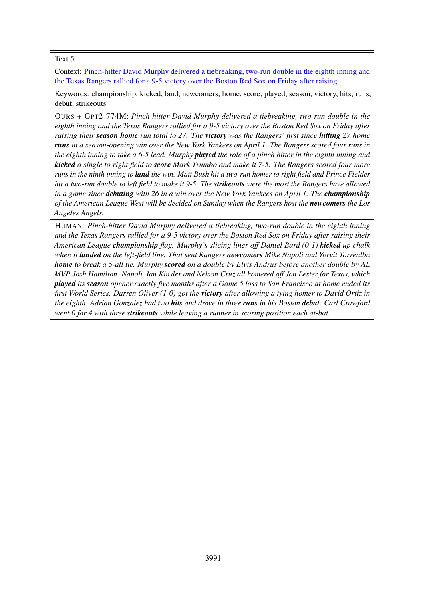Context: Pinch-hitter David Murphy delivered a tiebreaking, two-run double in the eighth inning and the Texas Rangers rallied for a 9-5 victory over the Boston Red Sox on Friday after raising

Keywords: championship, kicked, land, newcomers, home, score, played, season, victory, hits, runs, debut, strikeouts

OURS + GPT2-774M: *Pinch-hitter David Murphy delivered a tiebreaking, two-run double in the eighth inning and the Texas Rangers rallied for a 9-5 victory over the Boston Red Sox on Friday after raising their season home run total to 27. The victory was the Rangers' first since hitting 27 home runs in a season-opening win over the New York Yankees on April 1. The Rangers scored four runs in the eighth inning to take a 6-5 lead. Murphy played the role of a pinch hitter in the eighth inning and kicked a single to right field to score Mark Trumbo and make it 7-5. The Rangers scored four more runs in the ninth inning to land the win. Matt Bush hit a two-run homer to right field and Prince Fielder hit a two-run double to left field to make it 9-5. The strikeouts were the most the Rangers have allowed in a game since debuting with 26 in a win over the New York Yankees on April 1. The championship of the American League West will be decided on Sunday when the Rangers host the newcomers the Los Angeles Angels.*

HUMAN: *Pinch-hitter David Murphy delivered a tiebreaking, two-run double in the eighth inning and the Texas Rangers rallied for a 9-5 victory over the Boston Red Sox on Friday after raising their American League championship flag. Murphy's slicing liner off Daniel Bard (0-1) kicked up chalk when it landed on the left-field line. That sent Rangers newcomers Mike Napoli and Yorvit Torrealba home to break a 5-all tie. Murphy scored on a double by Elvis Andrus before another double by AL MVP Josh Hamilton. Napoli, Ian Kinsler and Nelson Cruz all homered off Jon Lester for Texas, which played its season opener exactly five months after a Game 5 loss to San Francisco at home ended its first World Series. Darren Oliver (1-0) got the victory after allowing a tying homer to David Ortiz in the eighth. Adrian Gonzalez had two hits and drove in three runs in his Boston debut. Carl Crawford went 0 for 4 with three strikeouts while leaving a runner in scoring position each at-bat.*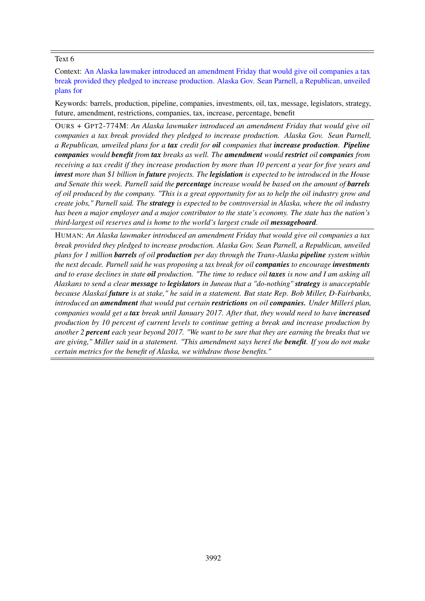Context: An Alaska lawmaker introduced an amendment Friday that would give oil companies a tax break provided they pledged to increase production. Alaska Gov. Sean Parnell, a Republican, unveiled plans for

Keywords: barrels, production, pipeline, companies, investments, oil, tax, message, legislators, strategy, future, amendment, restrictions, companies, tax, increase, percentage, benefit

OURS + GPT2-774M: *An Alaska lawmaker introduced an amendment Friday that would give oil companies a tax break provided they pledged to increase production. Alaska Gov. Sean Parnell, a Republican, unveiled plans for a tax credit for oil companies that increase production. Pipeline companies would benefit from tax breaks as well. The amendment would restrict oil companies from receiving a tax credit if they increase production by more than 10 percent a year for five years and invest more than \$1 billion in future projects. The legislation is expected to be introduced in the House and Senate this week. Parnell said the percentage increase would be based on the amount of barrels of oil produced by the company. "This is a great opportunity for us to help the oil industry grow and create jobs," Parnell said. The strategy is expected to be controversial in Alaska, where the oil industry has been a major employer and a major contributor to the state's economy. The state has the nation's third-largest oil reserves and is home to the world's largest crude oil messageboard.*

HUMAN: *An Alaska lawmaker introduced an amendment Friday that would give oil companies a tax break provided they pledged to increase production. Alaska Gov. Sean Parnell, a Republican, unveiled plans for 1 million barrels of oil production per day through the Trans-Alaska pipeline system within the next decade. Parnell said he was proposing a tax break for oil companies to encourage investments and to erase declines in state oil production. "The time to reduce oil taxes is now and I am asking all Alaskans to send a clear message to legislators in Juneau that a "do-nothing" strategy is unacceptable because Alaskas´ future is at stake," he said in a statement. But state Rep. Bob Miller, D-Fairbanks, introduced an amendment that would put certain restrictions on oil companies. Under Millers plan, ´ companies would get a tax break until January 2017. After that, they would need to have increased production by 10 percent of current levels to continue getting a break and increase production by another 2 percent each year beyond 2017. "We want to be sure that they are earning the breaks that we are giving," Miller said in a statement. "This amendment says heres the ´ benefit. If you do not make certain metrics for the benefit of Alaska, we withdraw those benefits."*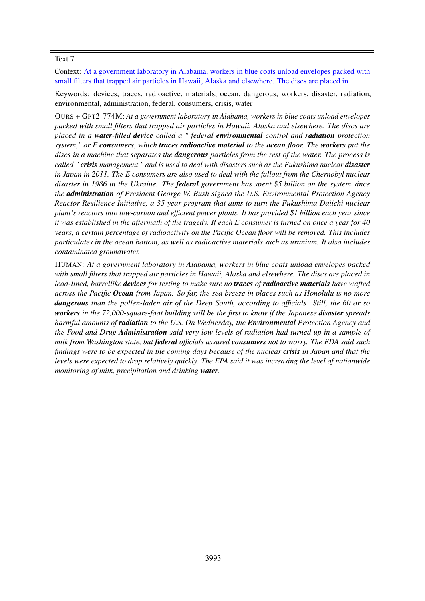Context: At a government laboratory in Alabama, workers in blue coats unload envelopes packed with small filters that trapped air particles in Hawaii, Alaska and elsewhere. The discs are placed in

Keywords: devices, traces, radioactive, materials, ocean, dangerous, workers, disaster, radiation, environmental, administration, federal, consumers, crisis, water

OURS + GPT2-774M: *At a government laboratory in Alabama, workers in blue coats unload envelopes packed with small filters that trapped air particles in Hawaii, Alaska and elsewhere. The discs are placed in a water-filled device called a " federal environmental control and radiation protection system," or E consumers, which traces radioactive material to the ocean floor. The workers put the discs in a machine that separates the dangerous particles from the rest of the water. The process is called " crisis management " and is used to deal with disasters such as the Fukushima nuclear disaster in Japan in 2011. The E consumers are also used to deal with the fallout from the Chernobyl nuclear disaster in 1986 in the Ukraine. The federal government has spent \$5 billion on the system since the administration of President George W. Bush signed the U.S. Environmental Protection Agency Reactor Resilience Initiative, a 35-year program that aims to turn the Fukushima Daiichi nuclear plant's reactors into low-carbon and efficient power plants. It has provided \$1 billion each year since it was established in the aftermath of the tragedy. If each E consumer is turned on once a year for 40 years, a certain percentage of radioactivity on the Pacific Ocean floor will be removed. This includes particulates in the ocean bottom, as well as radioactive materials such as uranium. It also includes contaminated groundwater.*

HUMAN: *At a government laboratory in Alabama, workers in blue coats unload envelopes packed with small filters that trapped air particles in Hawaii, Alaska and elsewhere. The discs are placed in lead-lined, barrellike devices for testing to make sure no traces of radioactive materials have wafted across the Pacific Ocean from Japan. So far, the sea breeze in places such as Honolulu is no more dangerous than the pollen-laden air of the Deep South, according to officials. Still, the 60 or so workers in the 72,000-square-foot building will be the first to know if the Japanese disaster spreads harmful amounts of radiation to the U.S. On Wednesday, the Environmental Protection Agency and the Food and Drug Administration said very low levels of radiation had turned up in a sample of milk from Washington state, but federal officials assured consumers not to worry. The FDA said such findings were to be expected in the coming days because of the nuclear crisis in Japan and that the levels were expected to drop relatively quickly. The EPA said it was increasing the level of nationwide monitoring of milk, precipitation and drinking water.*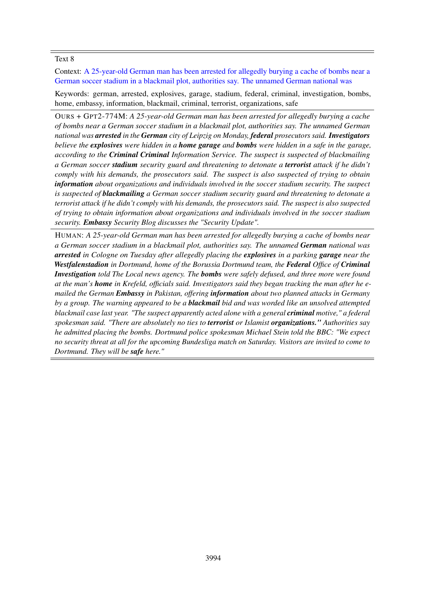Context: A 25-year-old German man has been arrested for allegedly burying a cache of bombs near a German soccer stadium in a blackmail plot, authorities say. The unnamed German national was

Keywords: german, arrested, explosives, garage, stadium, federal, criminal, investigation, bombs, home, embassy, information, blackmail, criminal, terrorist, organizations, safe

OURS + GPT2-774M: *A 25-year-old German man has been arrested for allegedly burying a cache of bombs near a German soccer stadium in a blackmail plot, authorities say. The unnamed German national was arrested in the German city of Leipzig on Monday, federal prosecutors said. Investigators believe the explosives were hidden in a home garage and bombs were hidden in a safe in the garage, according to the Criminal Criminal Information Service. The suspect is suspected of blackmailing a German soccer stadium security guard and threatening to detonate a terrorist attack if he didn't comply with his demands, the prosecutors said. The suspect is also suspected of trying to obtain information about organizations and individuals involved in the soccer stadium security. The suspect is suspected of blackmailing a German soccer stadium security guard and threatening to detonate a terrorist attack if he didn't comply with his demands, the prosecutors said. The suspect is also suspected of trying to obtain information about organizations and individuals involved in the soccer stadium security. Embassy Security Blog discusses the "Security Update".*

HUMAN: *A 25-year-old German man has been arrested for allegedly burying a cache of bombs near a German soccer stadium in a blackmail plot, authorities say. The unnamed German national was arrested in Cologne on Tuesday after allegedly placing the explosives in a parking garage near the Westfalenstadion in Dortmund, home of the Borussia Dortmund team, the Federal Office of Criminal Investigation told The Local news agency. The bombs were safely defused, and three more were found at the man's home in Krefeld, officials said. Investigators said they began tracking the man after he emailed the German Embassy in Pakistan, offering information about two planned attacks in Germany by a group. The warning appeared to be a blackmail bid and was worded like an unsolved attempted blackmail case last year. "The suspect apparently acted alone with a general criminal motive," a federal spokesman said. "There are absolutely no ties to terrorist or Islamist organizations." Authorities say he admitted placing the bombs. Dortmund police spokesman Michael Stein told the BBC: "We expect no security threat at all for the upcoming Bundesliga match on Saturday. Visitors are invited to come to Dortmund. They will be safe here."*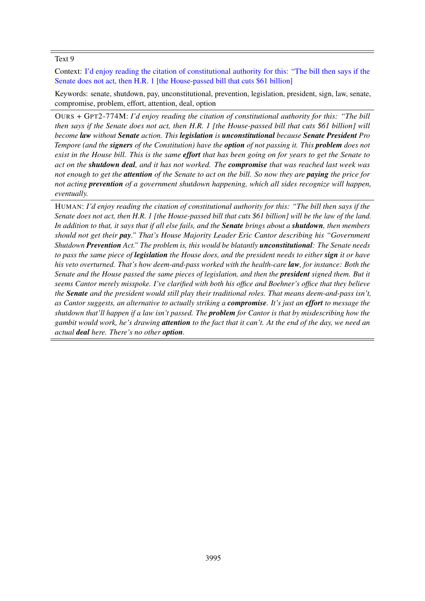Context: I'd enjoy reading the citation of constitutional authority for this: "The bill then says if the Senate does not act, then H.R. 1 [the House-passed bill that cuts \$61 billion]

Keywords: senate, shutdown, pay, unconstitutional, prevention, legislation, president, sign, law, senate, compromise, problem, effort, attention, deal, option

OURS + GPT2-774M: *I'd enjoy reading the citation of constitutional authority for this: "The bill then says if the Senate does not act, then H.R. 1 [the House-passed bill that cuts \$61 billion] will become law without Senate action. This legislation is unconstitutional because Senate President Pro Tempore (and the signers of the Constitution) have the option of not passing it. This problem does not exist in the House bill. This is the same effort that has been going on for years to get the Senate to act on the shutdown deal, and it has not worked. The compromise that was reached last week was not enough to get the attention of the Senate to act on the bill. So now they are paying the price for not acting prevention of a government shutdown happening, which all sides recognize will happen, eventually.*

HUMAN: *I'd enjoy reading the citation of constitutional authority for this: "The bill then says if the Senate does not act, then H.R. 1 [the House-passed bill that cuts \$61 billion] will be the law of the land. In addition to that, it says that if all else fails, and the Senate brings about a shutdown, then members should not get their pay." That's House Majority Leader Eric Cantor describing his "Government Shutdown Prevention Act." The problem is, this would be blatantly unconstitutional: The Senate needs to pass the same piece of legislation the House does, and the president needs to either sign it or have his veto overturned. That's how deem-and-pass worked with the health-care law, for instance: Both the Senate and the House passed the same pieces of legislation, and then the president signed them. But it seems Cantor merely misspoke. I've clarified with both his office and Boehner's office that they believe the Senate and the president would still play their traditional roles. That means deem-and-pass isn't, as Cantor suggests, an alternative to actually striking a compromise. It's just an effort to message the shutdown that'll happen if a law isn't passed. The problem for Cantor is that by misdescribing how the gambit would work, he's drawing attention to the fact that it can't. At the end of the day, we need an actual deal here. There's no other option.*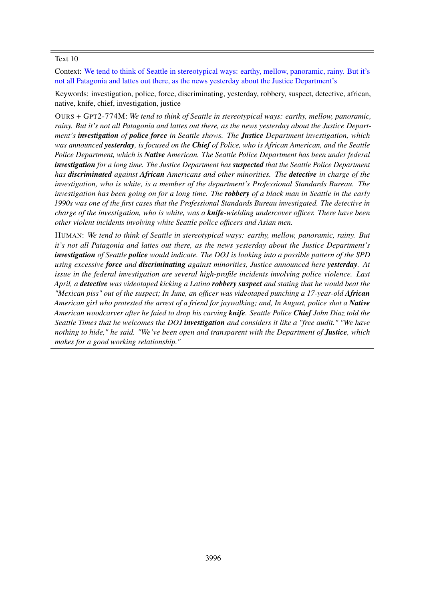Context: We tend to think of Seattle in stereotypical ways: earthy, mellow, panoramic, rainy. But it's not all Patagonia and lattes out there, as the news yesterday about the Justice Department's

Keywords: investigation, police, force, discriminating, yesterday, robbery, suspect, detective, african, native, knife, chief, investigation, justice

OURS + GPT2-774M: *We tend to think of Seattle in stereotypical ways: earthy, mellow, panoramic, rainy. But it's not all Patagonia and lattes out there, as the news yesterday about the Justice Department's investigation of police force in Seattle shows. The Justice Department investigation, which was announced yesterday, is focused on the Chief of Police, who is African American, and the Seattle Police Department, which is Native American. The Seattle Police Department has been under federal investigation for a long time. The Justice Department has suspected that the Seattle Police Department has discriminated against African Americans and other minorities. The detective in charge of the investigation, who is white, is a member of the department's Professional Standards Bureau. The investigation has been going on for a long time. The robbery of a black man in Seattle in the early 1990s was one of the first cases that the Professional Standards Bureau investigated. The detective in charge of the investigation, who is white, was a knife-wielding undercover officer. There have been other violent incidents involving white Seattle police officers and Asian men.*

HUMAN: *We tend to think of Seattle in stereotypical ways: earthy, mellow, panoramic, rainy. But it's not all Patagonia and lattes out there, as the news yesterday about the Justice Department's investigation of Seattle police would indicate. The DOJ is looking into a possible pattern of the SPD using excessive force and discriminating against minorities, Justice announced here yesterday. At issue in the federal investigation are several high-profile incidents involving police violence. Last April, a detective was videotaped kicking a Latino robbery suspect and stating that he would beat the "Mexican piss" out of the suspect; In June, an officer was videotaped punching a 17-year-old African American girl who protested the arrest of a friend for jaywalking; and, In August, police shot a Native American woodcarver after he faied to drop his carving knife. Seattle Police Chief John Diaz told the Seattle Times that he welcomes the DOJ investigation and considers it like a "free audit." "We have nothing to hide," he said. "We've been open and transparent with the Department of Justice, which makes for a good working relationship."*